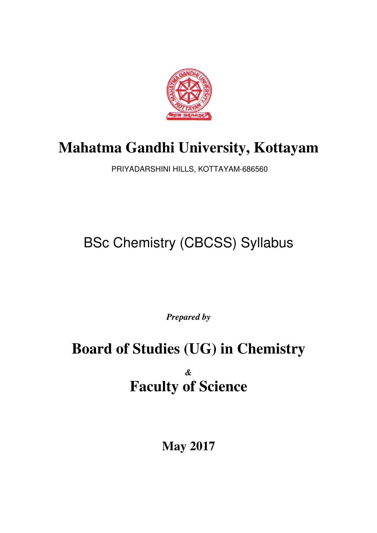

# **Mahatma Gandhi University, Kottayam**

PRIYADARSHINI HILLS, KOTTAYAM-686560

# BSc Chemistry (CBCSS) Syllabus

*Prepared by* 

# **Board of Studies (UG) in Chemistry**  *&*  **Faculty of Science**

**May 2017**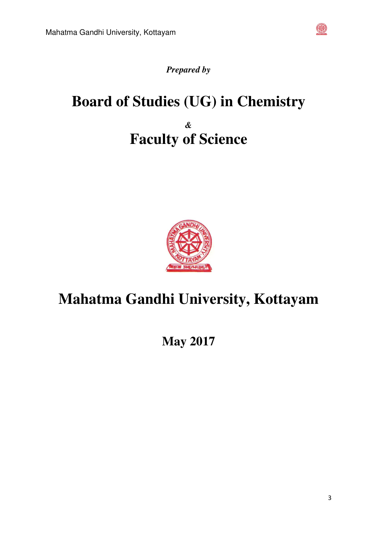

# *Prepared by*

# **Board of Studies (UG) in Chemistry**  *&*  **Faculty of Science**



# **Mahatma Gandhi University, Kottayam**

**May 2017**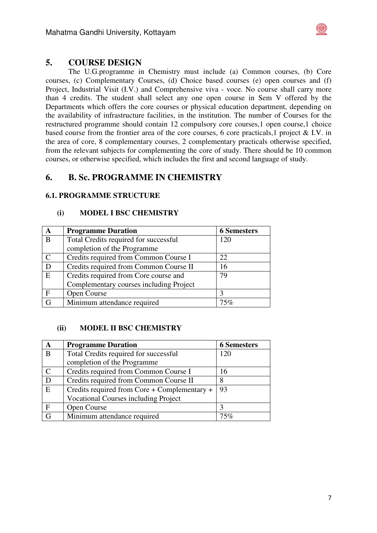

## **5. COURSE DESIGN**

The U.G.programme in Chemistry must include (a) Common courses, (b) Core courses, (c) Complementary Courses, (d) Choice based courses (e) open courses and (f) Project, Industrial Visit (I.V.) and Comprehensive viva - voce. No course shall carry more than 4 credits. The student shall select any one open course in Sem V offered by the Departments which offers the core courses or physical education department, depending on the availability of infrastructure facilities, in the institution. The number of Courses for the restructured programme should contain 12 compulsory core courses,1 open course,1 choice based course from the frontier area of the core courses, 6 core practicals,1 project & I.V. in the area of core, 8 complementary courses, 2 complementary practicals otherwise specified, from the relevant subjects for complementing the core of study. There should be 10 common courses, or otherwise specified, which includes the first and second language of study.

# **6. B. Sc. PROGRAMME IN CHEMISTRY**

### **6.1. PROGRAMME STRUCTURE**

#### **(i) MODEL I BSC CHEMISTRY**

| A            | <b>Programme Duration</b>                   | <b>6 Semesters</b> |
|--------------|---------------------------------------------|--------------------|
| B            | Total Credits required for successful       | 120                |
|              | completion of the Programme                 |                    |
| C            | Credits required from Common Course I       | 22                 |
| D            | Credits required from Common Course II      | 16                 |
| E            | Credits required from Core course and<br>79 |                    |
|              | Complementary courses including Project     |                    |
| $\mathbf{F}$ | Open Course                                 | 3                  |
| G            | Minimum attendance required                 | 75%                |

### **(ii) MODEL II BSC CHEMISTRY**

| A             | <b>Programme Duration</b>                          | <b>6 Semesters</b> |
|---------------|----------------------------------------------------|--------------------|
| B             | Total Credits required for successful              | 120                |
|               | completion of the Programme                        |                    |
| $\mathcal{C}$ | Credits required from Common Course I              | 16                 |
| D             | Credits required from Common Course II             | 8                  |
| E             | 93<br>Credits required from Core + Complementary + |                    |
|               | <b>Vocational Courses including Project</b>        |                    |
| $\mathbf{F}$  | Open Course                                        | 2                  |
| G             | Minimum attendance required                        | 75%                |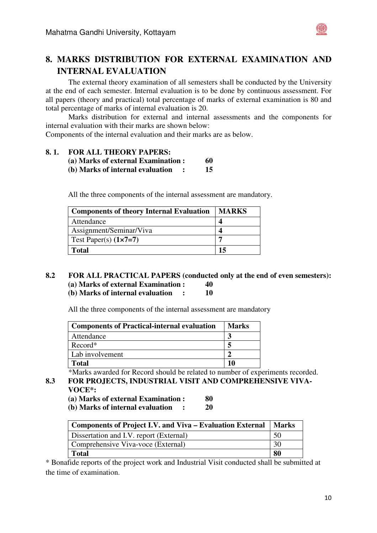

The external theory examination of all semesters shall be conducted by the University at the end of each semester. Internal evaluation is to be done by continuous assessment. For all papers (theory and practical) total percentage of marks of external examination is 80 and total percentage of marks of internal evaluation is 20.

Marks distribution for external and internal assessments and the components for internal evaluation with their marks are shown below:

Components of the internal evaluation and their marks are as below.

#### **8. 1. FOR ALL THEORY PAPERS:**

| (a) Marks of external Examination : | 60 |
|-------------------------------------|----|
| (b) Marks of internal evaluation    | 15 |

All the three components of the internal assessment are mandatory.

| <b>Components of theory Internal Evaluation</b> | <b>MARKS</b> |
|-------------------------------------------------|--------------|
| Attendance                                      |              |
| Assignment/Seminar/Viva                         |              |
| Test Paper(s) $(1 \times 7 = 7)$                |              |
| <b>Total</b>                                    |              |

#### **8.2 FOR ALL PRACTICAL PAPERS (conducted only at the end of even semesters): (a) Marks of external Examination : 40 (b) Marks of internal evaluation : 10**

All the three components of the internal assessment are mandatory

| <b>Components of Practical-internal evaluation</b> | <b>Marks</b> |
|----------------------------------------------------|--------------|
| Attendance                                         |              |
| Record*                                            |              |
| Lab involvement                                    |              |
| Total                                              | 10           |

\*Marks awarded for Record should be related to number of experiments recorded.

**8.3 FOR PROJECTS, INDUSTRIAL VISIT AND COMPREHENSIVE VIVA-VOCE\*:**

**(a) Marks of external Examination : 80** 

**(b) Marks of internal evaluation : 20** 

| Components of Project I.V. and Viva – Evaluation External |    |  |
|-----------------------------------------------------------|----|--|
| Dissertation and I.V. report (External)                   | 50 |  |
| Comprehensive Viva-voce (External)                        |    |  |
| <b>Total</b>                                              |    |  |

\* Bonafide reports of the project work and Industrial Visit conducted shall be submitted at the time of examination.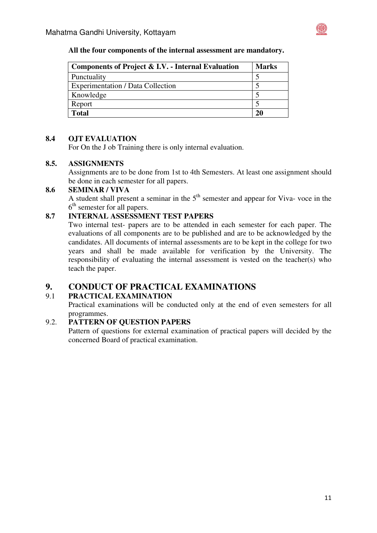

#### **All the four components of the internal assessment are mandatory.**

| Components of Project & I.V. - Internal Evaluation | <b>Marks</b> |
|----------------------------------------------------|--------------|
| Punctuality                                        |              |
| <b>Experimentation / Data Collection</b>           |              |
| Knowledge                                          |              |
| Report                                             |              |
| <b>Total</b>                                       | 20           |

#### **8.4 OJT EVALUATION**

For On the J ob Training there is only internal evaluation.

#### **8.5. ASSIGNMENTS**

Assignments are to be done from 1st to 4th Semesters. At least one assignment should be done in each semester for all papers.

#### **8.6 SEMINAR / VIVA**

A student shall present a seminar in the  $5<sup>th</sup>$  semester and appear for Viva- voce in the  $6<sup>th</sup>$  semester for all papers.

### **8.7 INTERNAL ASSESSMENT TEST PAPERS**

Two internal test- papers are to be attended in each semester for each paper. The evaluations of all components are to be published and are to be acknowledged by the candidates. All documents of internal assessments are to be kept in the college for two years and shall be made available for verification by the University. The responsibility of evaluating the internal assessment is vested on the teacher(s) who teach the paper.

### **9. CONDUCT OF PRACTICAL EXAMINATIONS**

### 9.1 **PRACTICAL EXAMINATION**

Practical examinations will be conducted only at the end of even semesters for all programmes.

### 9.2. **PATTERN OF QUESTION PAPERS**

Pattern of questions for external examination of practical papers will decided by the concerned Board of practical examination.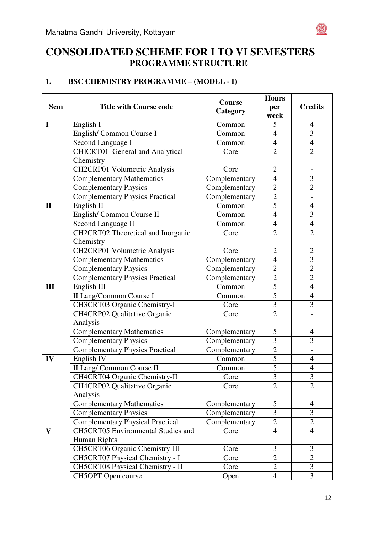

# **1. BSC CHEMISTRY PROGRAMME – (MODEL - I)**

|              |                                               | <b>Course</b> | <b>Hours</b>   |                |
|--------------|-----------------------------------------------|---------------|----------------|----------------|
| <b>Sem</b>   | <b>Title with Course code</b>                 | Category      | per            | <b>Credits</b> |
|              |                                               |               | week           |                |
| $\mathbf I$  | English I                                     | Common        | 5              | $\overline{4}$ |
|              | English/Common Course I                       | Common        | $\overline{4}$ | $\overline{3}$ |
|              | Second Language I                             | Common        | $\overline{4}$ | $\overline{4}$ |
|              | CHICRT01 General and Analytical               | Core          | $\overline{2}$ | $\overline{2}$ |
|              | Chemistry                                     |               |                |                |
|              | CH2CRP01 Volumetric Analysis                  | Core          | $\overline{2}$ |                |
|              | <b>Complementary Mathematics</b>              | Complementary | $\overline{4}$ | 3              |
|              | <b>Complementary Physics</b><br>Complementary |               | $\overline{2}$ | $\overline{2}$ |
|              | <b>Complementary Physics Practical</b>        | Complementary | $\overline{2}$ |                |
| $\mathbf{I}$ | English II                                    | Common        | $\overline{5}$ | $\overline{4}$ |
|              | English/Common Course II                      | Common        | $\overline{4}$ | 3              |
|              | Second Language II                            | Common        | $\overline{4}$ | $\overline{4}$ |
|              | CH2CRT02 Theoretical and Inorganic            | Core          | $\overline{2}$ | $\overline{2}$ |
|              | Chemistry                                     |               |                |                |
|              | <b>CH2CRP01 Volumetric Analysis</b>           | Core          | $\mathfrak{2}$ | $\overline{2}$ |
|              | <b>Complementary Mathematics</b>              | Complementary | $\overline{4}$ | 3              |
|              | <b>Complementary Physics</b>                  | Complementary | $\overline{2}$ | $\overline{2}$ |
|              | <b>Complementary Physics Practical</b>        | Complementary | $\overline{c}$ | $\overline{2}$ |
| III          | English III                                   | Common        | $\overline{5}$ | $\overline{4}$ |
|              | II Lang/Common Course I                       | Common        | $\overline{5}$ | $\overline{4}$ |
|              | CH3CRT03 Organic Chemistry-I                  | Core          | 3              | 3              |
|              | CH4CRP02 Qualitative Organic                  | Core          | $\overline{2}$ |                |
|              | Analysis                                      |               |                |                |
|              | <b>Complementary Mathematics</b>              | Complementary | 5              | $\overline{4}$ |
|              | <b>Complementary Physics</b>                  | Complementary | 3              | 3              |
|              | <b>Complementary Physics Practical</b>        | Complementary | $\overline{2}$ | $\overline{a}$ |
| IV           | English IV                                    | Common        | $\overline{5}$ | $\overline{4}$ |
|              | II Lang/ Common Course II                     | Common        | $\overline{5}$ | $\overline{4}$ |
|              | CH4CRT04 Organic Chemistry-II                 | Core          | $\overline{3}$ | 3              |
|              | CH4CRP02 Qualitative Organic                  | Core          | $\overline{2}$ | $\overline{2}$ |
|              | Analysis                                      |               |                |                |
|              | <b>Complementary Mathematics</b>              | Complementary | 5              | 4              |
|              | <b>Complementary Physics</b>                  | Complementary | 3              | $\overline{3}$ |
|              | <b>Complementary Physical Practical</b>       | Complementary | $\overline{2}$ | $\overline{2}$ |
| V            | <b>CH5CRT05</b> Environmental Studies and     | Core          | $\overline{4}$ | 4              |
|              | Human Rights                                  |               |                |                |
|              | CH5CRT06 Organic Chemistry-III                | Core          | 3              | 3              |
|              | CH5CRT07 Physical Chemistry - I               | Core          | $\overline{2}$ | $\overline{2}$ |
|              | CH5CRT08 Physical Chemistry - II              | Core          | $\overline{2}$ | $\overline{3}$ |
|              | CH5OPT Open course                            | Open          | $\overline{4}$ | 3              |

 $\circledast$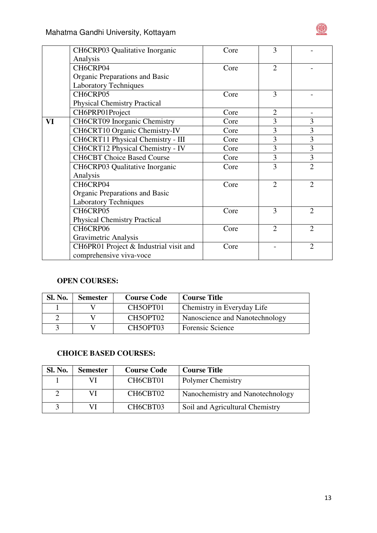

|                                                                       | CH6CRP03 Qualitative Inorganic                                    | Core | 3              |                |
|-----------------------------------------------------------------------|-------------------------------------------------------------------|------|----------------|----------------|
|                                                                       | Analysis                                                          |      |                |                |
|                                                                       | CH6CRP04                                                          | Core | $\overline{2}$ |                |
|                                                                       | Organic Preparations and Basic                                    |      |                |                |
|                                                                       | <b>Laboratory Techniques</b>                                      |      |                |                |
|                                                                       | CH6CRP05                                                          | Core | 3              |                |
|                                                                       | <b>Physical Chemistry Practical</b>                               |      |                |                |
|                                                                       | CH6PRP01Project                                                   | Core | $\overline{2}$ |                |
| VI                                                                    | <b>CH6CRT09</b> Inorganic Chemistry                               | Core | 3              | 3              |
|                                                                       | CH6CRT10 Organic Chemistry-IV                                     | Core | 3              | 3              |
|                                                                       | CH6CRT11 Physical Chemistry - III                                 | Core | 3              | 3              |
| CH6CRT12 Physical Chemistry - IV<br><b>CH6CBT Choice Based Course</b> |                                                                   | Core | $\overline{3}$ | 3              |
|                                                                       |                                                                   | Core | 3              | 3              |
|                                                                       | CH6CRP03 Qualitative Inorganic                                    | Core | 3              | $\overline{2}$ |
|                                                                       | Analysis                                                          |      |                |                |
|                                                                       | CH6CRP04                                                          | Core | $\overline{2}$ | $\overline{2}$ |
|                                                                       | Organic Preparations and Basic                                    |      |                |                |
|                                                                       | <b>Laboratory Techniques</b>                                      |      |                |                |
|                                                                       | CH6CRP05                                                          | Core | 3              | $\overline{2}$ |
|                                                                       | <b>Physical Chemistry Practical</b>                               |      |                |                |
|                                                                       | CH6CRP06                                                          | Core | $\overline{2}$ | $\overline{2}$ |
|                                                                       | Gravimetric Analysis                                              |      |                |                |
|                                                                       | CH6PR01 Project & Industrial visit and<br>comprehensive viva-voce | Core |                | $\overline{2}$ |
|                                                                       |                                                                   |      |                |                |

# **OPEN COURSES:**

| <b>Sl. No.</b> | <b>Semester</b> | <b>Course Code</b>                | <b>Course Title</b>            |
|----------------|-----------------|-----------------------------------|--------------------------------|
|                |                 | CH <sub>5</sub> OPT <sub>01</sub> | Chemistry in Everyday Life     |
|                |                 | CH5OPT02                          | Nanoscience and Nanotechnology |
|                |                 | CH5OPT03                          | <b>Forensic Science</b>        |

## **CHOICE BASED COURSES:**

| <b>Sl. No.</b> | <b>Semester</b> | <b>Course Code</b> | <b>Course Title</b>              |
|----------------|-----------------|--------------------|----------------------------------|
|                | VI              | CH6CBT01           | Polymer Chemistry                |
|                | VI              | CH6CBT02           | Nanochemistry and Nanotechnology |
|                |                 | CH6CBT03           | Soil and Agricultural Chemistry  |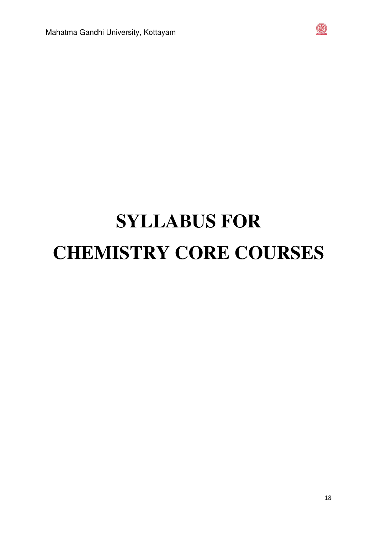

# **SYLLABUS FOR CHEMISTRY CORE COURSES**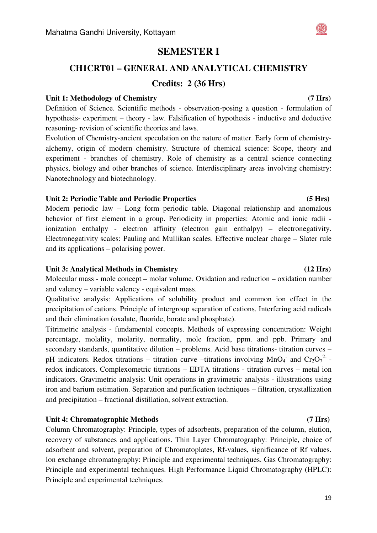# **SEMESTER I**

# **CH1CRT01 – GENERAL AND ANALYTICAL CHEMISTRY Credits: 2 (36 Hrs)**

#### Unit 1: Methodology of Chemistry **(7 Hrs) (7 Hrs)**

Definition of Science. Scientific methods - observation-posing a question - formulation of hypothesis- experiment – theory - law. Falsification of hypothesis - inductive and deductive reasoning- revision of scientific theories and laws.

Evolution of Chemistry-ancient speculation on the nature of matter. Early form of chemistryalchemy, origin of modern chemistry. Structure of chemical science: Scope, theory and experiment - branches of chemistry. Role of chemistry as a central science connecting physics, biology and other branches of science. Interdisciplinary areas involving chemistry: Nanotechnology and biotechnology.

#### **Unit 2: Periodic Table and Periodic Properties (5 Hrs)**

Modern periodic law – Long form periodic table. Diagonal relationship and anomalous behavior of first element in a group. Periodicity in properties: Atomic and ionic radii ionization enthalpy - electron affinity (electron gain enthalpy) – electronegativity. Electronegativity scales: Pauling and Mullikan scales. Effective nuclear charge – Slater rule and its applications – polarising power.

#### **Unit 3: Analytical Methods in Chemistry (12 Hrs)**

Molecular mass - mole concept – molar volume. Oxidation and reduction – oxidation number and valency – variable valency - equivalent mass.

Qualitative analysis: Applications of solubility product and common ion effect in the precipitation of cations. Principle of intergroup separation of cations. Interfering acid radicals and their elimination (oxalate, fluoride, borate and phosphate).

Titrimetric analysis - fundamental concepts. Methods of expressing concentration: Weight percentage, molality, molarity, normality, mole fraction, ppm. and ppb. Primary and secondary standards, quantitative dilution – problems. Acid base titrations- titration curves – pH indicators. Redox titrations – titration curve –titrations involving MnO<sub>4</sub><sup>-</sup> and Cr<sub>2</sub>O<sub>7</sub><sup>2</sup> redox indicators. Complexometric titrations – EDTA titrations - titration curves – metal ion indicators. Gravimetric analysis: Unit operations in gravimetric analysis - illustrations using iron and barium estimation. Separation and purification techniques – filtration, crystallization and precipitation – fractional distillation, solvent extraction.

#### **Unit 4: Chromatographic Methods (7 Hrs)**

Column Chromatography: Principle, types of adsorbents, preparation of the column, elution, recovery of substances and applications. Thin Layer Chromatography: Principle, choice of adsorbent and solvent, preparation of Chromatoplates, Rf-values, significance of Rf values. Ion exchange chromatography: Principle and experimental techniques. Gas Chromatography: Principle and experimental techniques. High Performance Liquid Chromatography (HPLC): Principle and experimental techniques.

#### 19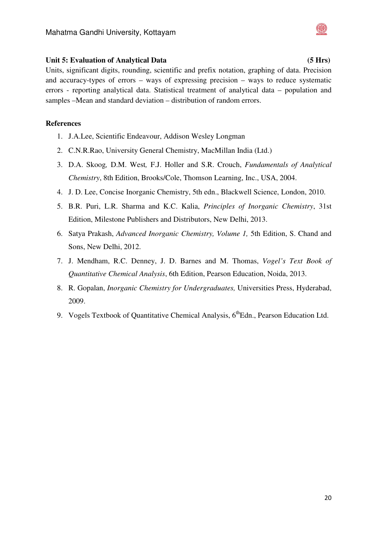### Unit 5: Evaluation of Analytical Data (5 Hrs)

Units, significant digits, rounding, scientific and prefix notation, graphing of data. Precision and accuracy-types of errors – ways of expressing precision – ways to reduce systematic errors - reporting analytical data. Statistical treatment of analytical data – population and samples –Mean and standard deviation – distribution of random errors.

- 1. J.A.Lee, Scientific Endeavour, Addison Wesley Longman
- 2. C.N.R.Rao, University General Chemistry, MacMillan India (Ltd.)
- 3. D.A. Skoog*,* D.M. West*,* F.J. Holler and S.R. Crouch, *Fundamentals of Analytical Chemistry*, 8th Edition, Brooks/Cole, Thomson Learning, Inc., USA, 2004.
- 4. J. D. Lee, Concise Inorganic Chemistry, 5th edn., Blackwell Science, London, 2010.
- 5. B.R. Puri, L.R. Sharma and K.C. Kalia, *Principles of Inorganic Chemistry*, 31st Edition, Milestone Publishers and Distributors, New Delhi, 2013.
- 6. Satya Prakash, *Advanced Inorganic Chemistry, Volume 1,* 5th Edition, S. Chand and Sons, New Delhi, 2012.
- 7. J. Mendham, R.C. Denney, J. D. Barnes and M. Thomas, *Vogel's Text Book of Quantitative Chemical Analysis*, 6th Edition, Pearson Education, Noida, 2013.
- 8. R. Gopalan, *Inorganic Chemistry for Undergraduates,* Universities Press, Hyderabad, 2009.
- 9. Vogels Textbook of Quantitative Chemical Analysis, 6<sup>th</sup>Edn., Pearson Education Ltd.

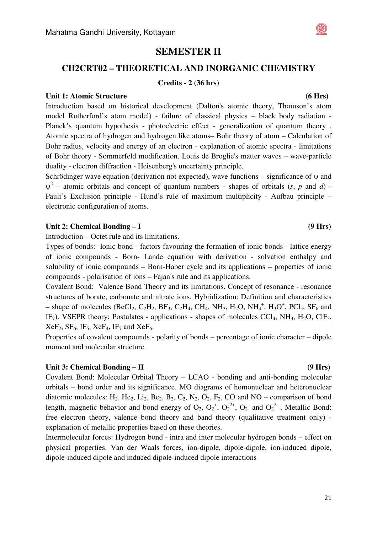# **SEMESTER II**

### **CH2CRT02 – THEORETICAL AND INORGANIC CHEMISTRY**

#### **Credits - 2 (36 hrs)**

#### **Unit 1: Atomic Structure (6 Hrs)**

Introduction based on historical development (Dalton's atomic theory, Thomson's atom model Rutherford's atom model) - failure of classical physics – black body radiation - Planck's quantum hypothesis - photoelectric effect - generalization of quantum theory . Atomic spectra of hydrogen and hydrogen like atoms– Bohr theory of atom – Calculation of Bohr radius, velocity and energy of an electron - explanation of atomic spectra - limitations of Bohr theory - Sommerfeld modification. Louis de Broglie's matter waves – wave-particle duality - electron diffraction - Heisenberg's uncertainty principle.

Schrödinger wave equation (derivation not expected), wave functions – significance of  $\psi$  and  $\psi^2$  – atomic orbitals and concept of quantum numbers - shapes of orbitals (*s*, *p* and *d*) -Pauli's Exclusion principle - Hund's rule of maximum multiplicity - Aufbau principle – electronic configuration of atoms.

#### Unit 2: Chemical Bonding – I (9 Hrs)

Introduction – Octet rule and its limitations.

Types of bonds: Ionic bond - factors favouring the formation of ionic bonds - lattice energy of ionic compounds - Born- Lande equation with derivation - solvation enthalpy and solubility of ionic compounds – Born-Haber cycle and its applications – properties of ionic compounds - polarisation of ions – Fajan's rule and its applications.

Covalent Bond: Valence Bond Theory and its limitations. Concept of resonance - resonance structures of borate, carbonate and nitrate ions. Hybridization: Definition and characteristics - shape of molecules (BeCl<sub>2</sub>, C<sub>2</sub>H<sub>2</sub>, BF<sub>3</sub>, C<sub>2</sub>H<sub>4</sub>, CH<sub>4</sub>, NH<sub>3</sub>, H<sub>2</sub>O, NH<sub>4</sub><sup>+</sup>, H<sub>3</sub>O<sup>+</sup>, PCl<sub>5</sub>, SF<sub>6</sub> and IF<sub>7</sub>). VSEPR theory: Postulates - applications - shapes of molecules CCl<sub>4</sub>, NH<sub>3</sub>, H<sub>2</sub>O, ClF<sub>3</sub>,  $XeF_2$ ,  $SF_6$ ,  $IF_5$ ,  $XeF_4$ ,  $IF_7$  and  $XeF_6$ .

Properties of covalent compounds - polarity of bonds – percentage of ionic character – dipole moment and molecular structure.

#### Unit 3: Chemical Bonding – II (9 Hrs)

Covalent Bond: Molecular Orbital Theory – LCAO - bonding and anti-bonding molecular orbitals – bond order and its significance. MO diagrams of homonuclear and heteronuclear diatomic molecules:  $H_2$ ,  $He_2$ ,  $Li_2$ ,  $Be_2$ ,  $B_2$ ,  $C_2$ ,  $N_2$ ,  $O_2$ ,  $F_2$ ,  $CO$  and  $NO$  – comparison of bond length, magnetic behavior and bond energy of  $O_2$ ,  $O_2^+$ ,  $O_2^{\prime +}$ ,  $O_2^-$  and  $O_2^{\prime -}$ . Metallic Bond: free electron theory, valence bond theory and band theory (qualitative treatment only) explanation of metallic properties based on these theories.

Intermolecular forces: Hydrogen bond - intra and inter molecular hydrogen bonds – effect on physical properties. Van der Waals forces, ion-dipole, dipole-dipole, ion-induced dipole, dipole-induced dipole and induced dipole-induced dipole interactions



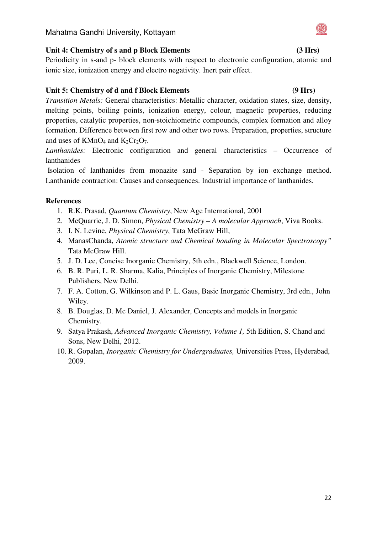### Mahatma Gandhi University, Kottayam

### Unit 4: Chemistry of s and p Block Elements (3 Hrs)

Periodicity in s-and p- block elements with respect to electronic configuration, atomic and ionic size, ionization energy and electro negativity. Inert pair effect.

### **Unit 5: Chemistry of d and f Block Elements (9 Hrs)**

*Transition Metals:* General characteristics: Metallic character, oxidation states, size, density, melting points, boiling points, ionization energy, colour, magnetic properties, reducing properties, catalytic properties, non-stoichiometric compounds, complex formation and alloy formation. Difference between first row and other two rows. Preparation, properties, structure and uses of  $KMnO_4$  and  $K_2Cr_2O_7$ .

*Lanthanides:* Electronic configuration and general characteristics – Occurrence of lanthanides

 Isolation of lanthanides from monazite sand - Separation by ion exchange method. Lanthanide contraction: Causes and consequences. Industrial importance of lanthanides.

- 1. R.K. Prasad, *Quantum Chemistry*, New Age International, 2001
- 2. McQuarrie, J. D. Simon, *Physical Chemistry A molecular Approach*, Viva Books.
- 3. I. N. Levine, *Physical Chemistry*, Tata McGraw Hill,
- 4. ManasChanda, *Atomic structure and Chemical bonding in Molecular Spectroscopy"* Tata McGraw Hill.
- 5. J. D. Lee, Concise Inorganic Chemistry, 5th edn., Blackwell Science, London.
- 6. B. R. Puri, L. R. Sharma, Kalia, Principles of Inorganic Chemistry, Milestone Publishers, New Delhi.
- 7. F. A. Cotton, G. Wilkinson and P. L. Gaus, Basic Inorganic Chemistry, 3rd edn., John Wiley.
- 8. B. Douglas, D. Mc Daniel, J. Alexander, Concepts and models in Inorganic Chemistry.
- 9. Satya Prakash, *Advanced Inorganic Chemistry, Volume 1,* 5th Edition, S. Chand and Sons, New Delhi, 2012.
- 10. R. Gopalan, *Inorganic Chemistry for Undergraduates,* Universities Press, Hyderabad, 2009.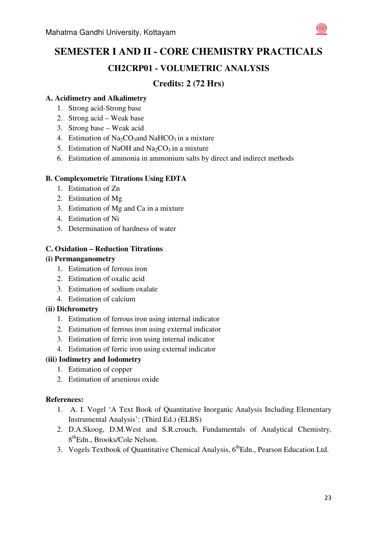

### **A. Acidimetry and Alkalimetry**

- 1. Strong acid-Strong base
- 2. Strong acid Weak base
- 3. Strong base Weak acid
- 4. Estimation of  $Na<sub>2</sub>CO<sub>3</sub>$  and NaHCO<sub>3</sub> in a mixture
- 5. Estimation of NaOH and  $Na<sub>2</sub>CO<sub>3</sub>$  in a mixture
- 6. Estimation of ammonia in ammonium salts by direct and indirect methods

### **B. Complexometric Titrations Using EDTA**

- 1. Estimation of Zn
- 2. Estimation of Mg
- 3. Estimation of Mg and Ca in a mixture
- 4. Estimation of Ni
- 5. Determination of hardness of water

### **C. Oxidation – Reduction Titrations**

### **(i) Permanganometry**

- 1. Estimation of ferrous iron
- 2. Estimation of oxalic acid
- 3. Estimation of sodium oxalate
- 4. Estimation of calcium

### **(ii) Dichrometry**

- 1. Estimation of ferrous iron using internal indicator
- 2. Estimation of ferrous iron using external indicator
- 3. Estimation of ferric iron using internal indicator
- 4. Estimation of ferric iron using external indicator

### **(iii) Iodimetry and Iodometry**

- 1. Estimation of copper
- 2. Estimation of arsenious oxide

- 1. A. I. Vogel 'A Text Book of Quantitative Inorganic Analysis Including Elementary Instrumental Analysis': (Third Ed.) (ELBS)
- 2. D.A.Skoog, D.M.West and S.R.crouch, Fundamentals of Analytical Chemistry, 8<sup>th</sup>Edn., Brooks/Cole Nelson.
- 3. Vogels Textbook of Quantitative Chemical Analysis, 6<sup>th</sup>Edn., Pearson Education Ltd.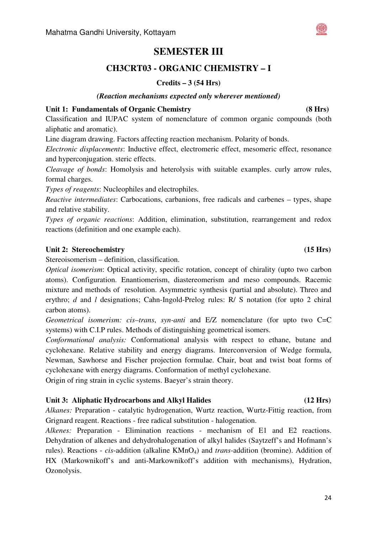# **SEMESTER III**

# **CH3CRT03 - ORGANIC CHEMISTRY – I**

### **Credits – 3 (54 Hrs)**

#### *(Reaction mechanisms expected only wherever mentioned)*

#### **Unit 1: Fundamentals of Organic Chemistry (8 Hrs)**

Classification and IUPAC system of nomenclature of common organic compounds (both aliphatic and aromatic).

Line diagram drawing. Factors affecting reaction mechanism. Polarity of bonds.

*Electronic displacements*: Inductive effect, electromeric effect, mesomeric effect, resonance and hyperconjugation. steric effects.

*Cleavage of bonds*: Homolysis and heterolysis with suitable examples. curly arrow rules, formal charges.

*Types of reagents*: Nucleophiles and electrophiles.

*Reactive intermediates*: Carbocations, carbanions, free radicals and carbenes – types, shape and relative stability.

*Types of organic reactions*: Addition, elimination, substitution, rearrangement and redox reactions (definition and one example each).

### Unit 2: Stereochemistry **15 Hrs**) (15 Hrs)

Stereoisomerism – definition, classification.

*Optical isomerism*: Optical activity, specific rotation, concept of chirality (upto two carbon atoms). Configuration. Enantiomerism, diastereomerism and meso compounds. Racemic mixture and methods of resolution. Asymmetric synthesis (partial and absolute). Threo and erythro; *d* and *l* designations; Cahn-Ingold-Prelog rules: R/ S notation (for upto 2 chiral carbon atoms).

*Geometrical isomerism: cis–trans*, *syn-anti* and E/Z nomenclature (for upto two C=C systems) with C.I.P rules. Methods of distinguishing geometrical isomers.

*Conformational analysis:* Conformational analysis with respect to ethane, butane and cyclohexane. Relative stability and energy diagrams. Interconversion of Wedge formula, Newman, Sawhorse and Fischer projection formulae. Chair, boat and twist boat forms of cyclohexane with energy diagrams. Conformation of methyl cyclohexane.

Origin of ring strain in cyclic systems. Baeyer's strain theory.

### **Unit 3: Aliphatic Hydrocarbons and Alkyl Halides (12 Hrs)**

*Alkanes:* Preparation - catalytic hydrogenation, Wurtz reaction, Wurtz-Fittig reaction, from Grignard reagent. Reactions - free radical substitution - halogenation.

*Alkenes:* Preparation - Elimination reactions - mechanism of E1 and E2 reactions. Dehydration of alkenes and dehydrohalogenation of alkyl halides (Saytzeff's and Hofmann's rules). Reactions - *cis*-addition (alkaline KMnO4) and *trans*-addition (bromine). Addition of HX (Markownikoff's and anti-Markownikoff's addition with mechanisms), Hydration, Ozonolysis.

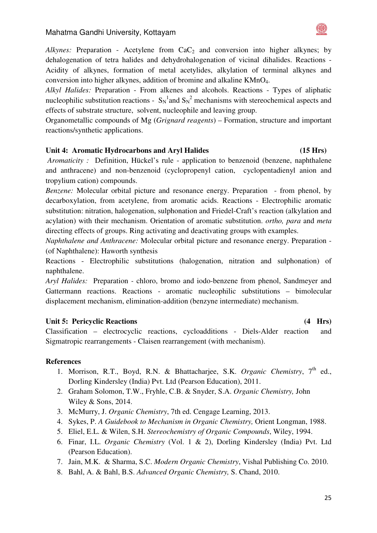

*Alkynes:* Preparation - Acetylene from  $CaC<sub>2</sub>$  and conversion into higher alkynes; by dehalogenation of tetra halides and dehydrohalogenation of vicinal dihalides. Reactions - Acidity of alkynes, formation of metal acetylides, alkylation of terminal alkynes and conversion into higher alkynes, addition of bromine and alkaline KMnO4.

*Alkyl Halides:* Preparation - From alkenes and alcohols. Reactions - Types of aliphatic nucleophilic substitution reactions -  $S_N^{\dagger}$  and  $S_N^2$  mechanisms with stereochemical aspects and effects of substrate structure, solvent, nucleophile and leaving group.

Organometallic compounds of Mg (*Grignard reagents*) – Formation, structure and important reactions/synthetic applications.

### **Unit 4: Aromatic Hydrocarbons and Aryl Halides (15 Hrs)**

 *Aromaticity :* Definition, Hückel's rule - application to benzenoid (benzene, naphthalene and anthracene) and non-benzenoid (cyclopropenyl cation, cyclopentadienyl anion and tropylium cation) compounds.

*Benzene:* Molecular orbital picture and resonance energy. Preparation - from phenol, by decarboxylation, from acetylene, from aromatic acids. Reactions - Electrophilic aromatic substitution: nitration, halogenation, sulphonation and Friedel-Craft's reaction (alkylation and acylation) with their mechanism. Orientation of aromatic substitution. *ortho, para* and *meta* directing effects of groups. Ring activating and deactivating groups with examples.

*Naphthalene and Anthracene:* Molecular orbital picture and resonance energy. Preparation - (of Naphthalene): Haworth synthesis

Reactions - Electrophilic substitutions (halogenation, nitration and sulphonation) of naphthalene.

*Aryl Halides:* Preparation *-* chloro, bromo and iodo-benzene from phenol, Sandmeyer and Gattermann reactions. Reactions - aromatic nucleophilic substitutions – bimolecular displacement mechanism, elimination-addition (benzyne intermediate) mechanism.

#### **Unit 5: Pericyclic Reactions (4 Hrs)**

Classification – electrocyclic reactions, cycloadditions - Diels-Alder reaction and Sigmatropic rearrangements - Claisen rearrangement (with mechanism).

- 1. Morrison, R.T., Boyd, R.N. & Bhattacharjee, S.K. *Organic Chemistry*, 7<sup>th</sup> ed., Dorling Kindersley (India) Pvt. Ltd (Pearson Education), 2011.
- 2. Graham Solomon, T.W., Fryhle, C.B. & Snyder, S.A. *Organic Chemistry,* John Wiley & Sons, 2014.
- 3. McMurry, J. *Organic Chemistry*, 7th ed. Cengage Learning, 2013.
- 4. Sykes, P. *A Guidebook to Mechanism in Organic Chemistry,* Orient Longman, 1988.
- 5. Eliel, E.L. & Wilen, S.H. *Stereochemistry of Organic Compounds*, Wiley, 1994.
- 6. Finar, I.L. *Organic Chemistry* (Vol. 1 & 2), Dorling Kindersley (India) Pvt. Ltd (Pearson Education).
- 7. Jain, M.K. & Sharma, S.C. *Modern Organic Chemistry*, Vishal Publishing Co. 2010.
- 8. Bahl, A. & Bahl, B.S. *Advanced Organic Chemistry,* S. Chand, 2010.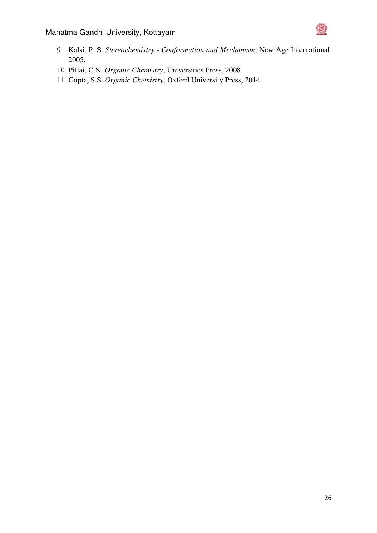

- 9. Kalsi, P. S. *Stereochemistry Conformation and Mechanism*; New Age International, 2005.
- 10. Pillai, C.N. *Organic Chemistry*, Universities Press, 2008.
- 11. Gupta, S.S. *Organic Chemistry*, Oxford University Press, 2014.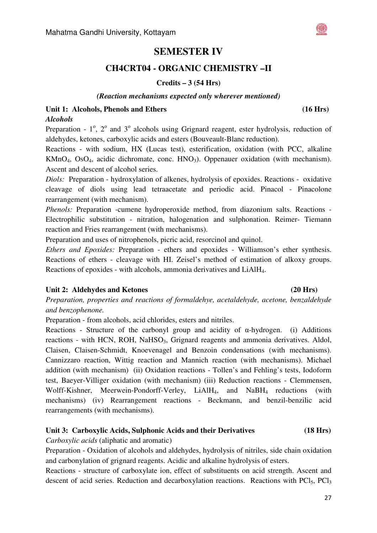# **SEMESTER IV**

# **CH4CRT04 - ORGANIC CHEMISTRY –II**

### **Credits – 3 (54 Hrs)**

#### *(Reaction mechanisms expected only wherever mentioned)*

#### **Unit 1: Alcohols, Phenols and Ethers (16 Hrs)**  *Alcohols*

Preparation -  $1^\circ$ ,  $2^\circ$  and  $3^\circ$  alcohols using Grignard reagent, ester hydrolysis, reduction of aldehydes, ketones, carboxylic acids and esters (Bouveault-Blanc reduction).

Reactions - with sodium, HX (Lucas test), esterification, oxidation (with PCC, alkaline KMnO<sub>4</sub>, OsO<sub>4</sub>, acidic dichromate, conc. HNO<sub>3</sub>). Oppenauer oxidation (with mechanism). Ascent and descent of alcohol series.

*Diols:* Preparation - hydroxylation of alkenes, hydrolysis of epoxides. Reactions - oxidative cleavage of diols using lead tetraacetate and periodic acid. Pinacol - Pinacolone rearrangement (with mechanism).

*Phenols:* Preparation *-*cumene hydroperoxide method, from diazonium salts. Reactions - Electrophilic substitution - nitration, halogenation and sulphonation. Reimer- Tiemann reaction and Fries rearrangement (with mechanisms).

Preparation and uses of nitrophenols, picric acid, resorcinol and quinol.

*Ethers and Epoxides:* Preparation - ethers and epoxides - Williamson's ether synthesis. Reactions of ethers - cleavage with HI. Zeisel's method of estimation of alkoxy groups. Reactions of epoxides - with alcohols, ammonia derivatives and LiAlH4.

### Unit 2: Aldehydes and Ketones **(20 Hrs) (20 Hrs)**

# *Preparation, properties and reactions of formaldehye, acetaldehyde, acetone, benzaldehyde and benzophenone.*

Preparation - from alcohols, acid chlorides, esters and nitriles.

Reactions - Structure of the carbonyl group and acidity of  $\alpha$ -hydrogen. (i) Additions reactions - with HCN, ROH, NaHSO<sub>3</sub>, Grignard reagents and ammonia derivatives. Aldol, Claisen, Claisen-Schmidt, Knoevenagel and Benzoin condensations (with mechanisms). Cannizzaro reaction, Wittig reaction and Mannich reaction (with mechanisms). Michael addition (with mechanism) (ii) Oxidation reactions - Tollen's and Fehling's tests, Iodoform test, Baeyer-Villiger oxidation (with mechanism) (iii) Reduction reactions - Clemmensen, Wolff-Kishner, Meerwein-Pondorff-Verley, LiAlH<sub>4</sub>, and NaBH<sub>4</sub> reductions (with mechanisms) (iv) Rearrangement reactions - Beckmann, and benzil-benzilic acid rearrangements (with mechanisms).

### **Unit 3: Carboxylic Acids, Sulphonic Acids and their Derivatives (18 Hrs)**

*Carboxylic acids* (aliphatic and aromatic)

Preparation - Oxidation of alcohols and aldehydes, hydrolysis of nitriles, side chain oxidation and carbonylation of grignard reagents. Acidic and alkaline hydrolysis of esters.

Reactions - structure of carboxylate ion, effect of substituents on acid strength. Ascent and descent of acid series. Reduction and decarboxylation reactions. Reactions with PCl<sub>5</sub>, PCl<sub>3</sub>

#### 27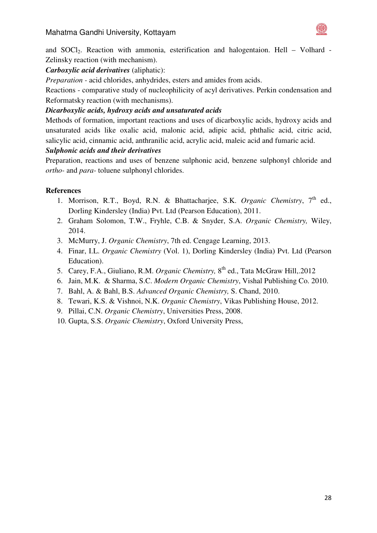

and SOCl2. Reaction with ammonia, esterification and halogentaion. Hell – Volhard - Zelinsky reaction (with mechanism).

# *Carboxylic acid derivatives* (aliphatic):

*Preparation -* acid chlorides, anhydrides, esters and amides from acids.

Reactions - comparative study of nucleophilicity of acyl derivatives. Perkin condensation and Reformatsky reaction (with mechanisms).

### *Dicarboxylic acids, hydroxy acids and unsaturated acids*

Methods of formation, important reactions and uses of dicarboxylic acids, hydroxy acids and unsaturated acids like oxalic acid, malonic acid, adipic acid, phthalic acid, citric acid, salicylic acid, cinnamic acid, anthranilic acid, acrylic acid, maleic acid and fumaric acid.

### *Sulphonic acids and their derivatives*

Preparation, reactions and uses of benzene sulphonic acid, benzene sulphonyl chloride and *ortho-* and *para-* toluene sulphonyl chlorides.

- 1. Morrison, R.T., Boyd, R.N. & Bhattacharjee, S.K. *Organic Chemistry*, 7<sup>th</sup> ed., Dorling Kindersley (India) Pvt. Ltd (Pearson Education), 2011.
- 2. Graham Solomon, T.W., Fryhle, C.B. & Snyder, S.A. *Organic Chemistry,* Wiley, 2014.
- 3. McMurry, J. *Organic Chemistry*, 7th ed. Cengage Learning, 2013.
- 4. Finar, I.L. *Organic Chemistry* (Vol. 1), Dorling Kindersley (India) Pvt. Ltd (Pearson Education).
- 5. Carey, F.A., Giuliano, R.M. *Organic Chemistry*, 8<sup>th</sup> ed., Tata McGraw Hill, 2012
- 6. Jain, M.K. & Sharma, S.C. *Modern Organic Chemistry*, Vishal Publishing Co. 2010.
- 7. Bahl, A. & Bahl, B.S. *Advanced Organic Chemistry,* S. Chand, 2010.
- 8. Tewari, K.S. & Vishnoi, N.K. *Organic Chemistry*, Vikas Publishing House, 2012.
- 9. Pillai, C.N. *Organic Chemistry*, Universities Press, 2008.
- 10. Gupta, S.S. *Organic Chemistry*, Oxford University Press,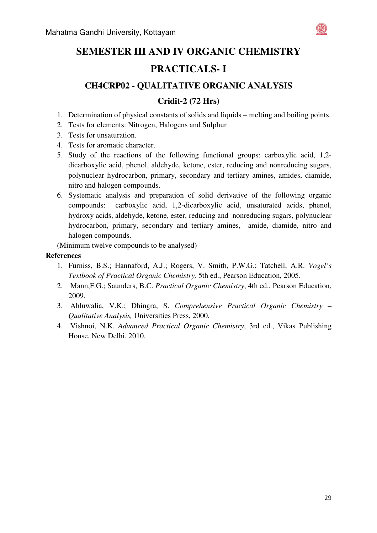

# **SEMESTER III AND IV ORGANIC CHEMISTRY PRACTICALS- I**

# **CH4CRP02 - QUALITATIVE ORGANIC ANALYSIS**

# **Cridit-2 (72 Hrs)**

- 1. Determination of physical constants of solids and liquids melting and boiling points.
- 2. Tests for elements: Nitrogen, Halogens and Sulphur
- 3. Tests for unsaturation.
- 4. Tests for aromatic character.
- 5. Study of the reactions of the following functional groups: carboxylic acid, 1,2 dicarboxylic acid, phenol, aldehyde, ketone, ester, reducing and nonreducing sugars, polynuclear hydrocarbon, primary, secondary and tertiary amines, amides, diamide, nitro and halogen compounds.
- 6. Systematic analysis and preparation of solid derivative of the following organic compounds: carboxylic acid, 1,2-dicarboxylic acid, unsaturated acids, phenol, hydroxy acids, aldehyde, ketone, ester, reducing and nonreducing sugars, polynuclear hydrocarbon, primary, secondary and tertiary amines, amide, diamide, nitro and halogen compounds.

(Minimum twelve compounds to be analysed)

- 1. Furniss, B.S.; Hannaford, A.J.; Rogers, V. Smith, P.W.G.; Tatchell, A.R. *Vogel's Textbook of Practical Organic Chemistry,* 5th ed., Pearson Education, 2005.
- 2. Mann,F.G.; Saunders, B.C. *Practical Organic Chemistry*, 4th ed., Pearson Education, 2009.
- 3. Ahluwalia, V.K.; Dhingra, S. *Comprehensive Practical Organic Chemistry Qualitative Analysis,* Universities Press, 2000.
- 4. Vishnoi, N.K. *Advanced Practical Organic Chemistry*, 3rd ed., Vikas Publishing House, New Delhi, 2010.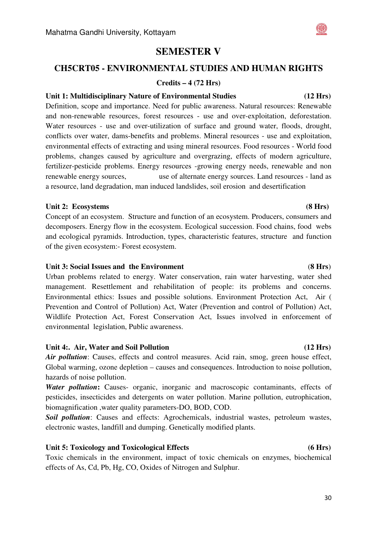# **SEMESTER V**

# **CH5CRT05 - ENVIRONMENTAL STUDIES AND HUMAN RIGHTS**

#### **Credits – 4 (72 Hrs)**

#### **Unit 1: Multidisciplinary Nature of Environmental Studies (12 Hrs)**

Definition, scope and importance. Need for public awareness. Natural resources: Renewable and non-renewable resources, forest resources - use and over-exploitation, deforestation. Water resources - use and over-utilization of surface and ground water, floods, drought, conflicts over water, dams-benefits and problems. Mineral resources - use and exploitation, environmental effects of extracting and using mineral resources. Food resources - World food problems, changes caused by agriculture and overgrazing, effects of modern agriculture, fertilizer-pesticide problems. Energy resources -growing energy needs, renewable and non renewable energy sources, use of alternate energy sources. Land resources - land as a resource, land degradation, man induced landslides, soil erosion and desertification

#### Unit 2: Ecosystems **(8 Hrs) (8 Hrs) (8 Hrs) (8 Hrs) (8 Hrs) (8 Hrs) (8 Hrs) (8 Hrs) (8 Hrs) (8 Hrs) (8 Hrs) (8 Hrs) (8 Hrs) (8 Hrs) (8 Hrs) (8 Hrs) (8 Hrs) (8 Hrs) (8 Hrs) (8 Hrs) (8**

Concept of an ecosystem. Structure and function of an ecosystem. Producers, consumers and decomposers. Energy flow in the ecosystem. Ecological succession. Food chains, food webs and ecological pyramids. Introduction, types, characteristic features, structure and function of the given ecosystem:- Forest ecosystem.

#### **Unit 3: Social Issues and the Environment** (**8 Hrs**)

Urban problems related to energy. Water conservation, rain water harvesting, water shed management. Resettlement and rehabilitation of people: its problems and concerns. Environmental ethics: Issues and possible solutions. Environment Protection Act, Air ( Prevention and Control of Pollution) Act, Water (Prevention and control of Pollution) Act, Wildlife Protection Act, Forest Conservation Act, Issues involved in enforcement of environmental legislation, Public awareness.

#### Unit 4:. Air, Water and Soil Pollution **(12 Hrs) (12 Hrs)**

*Air pollution*: Causes, effects and control measures. Acid rain, smog, green house effect, Global warming, ozone depletion – causes and consequences. Introduction to noise pollution, hazards of noise pollution.

**Water pollution:** Causes- organic, inorganic and macroscopic contaminants, effects of pesticides, insecticides and detergents on water pollution. Marine pollution, eutrophication, biomagnification ,water quality parameters-DO, BOD, COD.

*Soil pollution*: Causes and effects: Agrochemicals, industrial wastes, petroleum wastes, electronic wastes, landfill and dumping. Genetically modified plants.

#### **Unit 5: Toxicology and Toxicological Effects (6 Hrs)**

Toxic chemicals in the environment, impact of toxic chemicals on enzymes, biochemical effects of As, Cd, Pb, Hg, CO, Oxides of Nitrogen and Sulphur.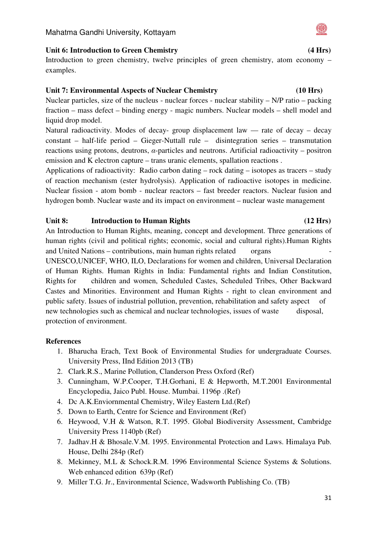#### **Unit 6: Introduction to Green Chemistry (4 Hrs)**

Introduction to green chemistry, twelve principles of green chemistry, atom economy – examples.

#### **Unit 7: Environmental Aspects of Nuclear Chemistry (10 Hrs)**

Nuclear particles, size of the nucleus - nuclear forces - nuclear stability – N/P ratio – packing fraction – mass defect – binding energy - magic numbers. Nuclear models – shell model and liquid drop model.

Natural radioactivity. Modes of decay- group displacement law  $-$  rate of decay – decay constant – half-life period – Gieger-Nuttall rule – disintegration series – transmutation reactions using protons, deutrons, α-particles and neutrons. Artificial radioactivity – positron emission and K electron capture – trans uranic elements, spallation reactions .

Applications of radioactivity: Radio carbon dating – rock dating – isotopes as tracers – study of reaction mechanism (ester hydrolysis). Application of radioactive isotopes in medicine. Nuclear fission - atom bomb - nuclear reactors – fast breeder reactors. Nuclear fusion and hydrogen bomb. Nuclear waste and its impact on environment – nuclear waste management

#### Unit 8: Introduction to Human Rights **(12 Hrs)**

An Introduction to Human Rights, meaning, concept and development. Three generations of human rights (civil and political rights; economic, social and cultural rights).Human Rights and United Nations – contributions, main human rights related organs UNESCO,UNICEF, WHO, ILO, Declarations for women and children, Universal Declaration of Human Rights. Human Rights in India: Fundamental rights and Indian Constitution, Rights for children and women, Scheduled Castes, Scheduled Tribes, Other Backward Castes and Minorities. Environment and Human Rights - right to clean environment and public safety. Issues of industrial pollution, prevention, rehabilitation and safety aspect of new technologies such as chemical and nuclear technologies, issues of waste disposal, protection of environment.

- 1. Bharucha Erach, Text Book of Environmental Studies for undergraduate Courses. University Press, IInd Edition 2013 (TB)
- 2. Clark.R.S., Marine Pollution, Clanderson Press Oxford (Ref)
- 3. Cunningham, W.P.Cooper, T.H.Gorhani, E & Hepworth, M.T.2001 Environmental Encyclopedia, Jaico Publ. House. Mumbai. 1196p .(Ref)
- 4. Dc A.K.Enviornmental Chemistry, Wiley Eastern Ltd.(Ref)
- 5. Down to Earth, Centre for Science and Environment (Ref)
- 6. Heywood, V.H & Watson, R.T. 1995. Global Biodiversity Assessment, Cambridge University Press 1140pb (Ref)
- 7. Jadhav.H & Bhosale.V.M. 1995. Environmental Protection and Laws. Himalaya Pub. House, Delhi 284p (Ref)
- 8. Mekinney, M.L & Schock.R.M. 1996 Environmental Science Systems & Solutions. Web enhanced edition 639p (Ref)
- 9. Miller T.G. Jr., Environmental Science, Wadsworth Publishing Co. (TB)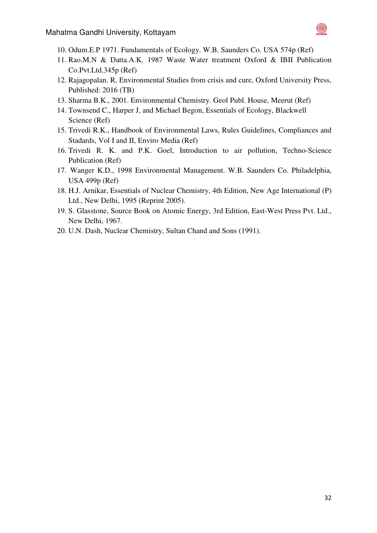

- 10. Odum.E.P 1971. Fundamentals of Ecology. W.B. Saunders Co. USA 574p (Ref)
- 11. Rao.M.N & Datta.A.K. 1987 Waste Water treatment Oxford & IBII Publication Co.Pvt.Ltd.345p (Ref)
- 12. Rajagopalan. R, Environmental Studies from crisis and cure, Oxford University Press, Published: 2016 (TB)
- 13. Sharma B.K., 2001. Environmental Chemistry. Geol Publ. House, Meerut (Ref)
- 14. Townsend C., Harper J, and Michael Begon, Essentials of Ecology, Blackwell Science (Ref)
- 15. Trivedi R.K., Handbook of Environmental Laws, Rules Guidelines, Compliances and Stadards, Vol I and II, Enviro Media (Ref)
- 16. Trivedi R. K. and P.K. Goel, Introduction to air pollution, Techno-Science Publication (Ref)
- 17. Wanger K.D., 1998 Environmental Management. W.B. Saunders Co. Philadelphia, USA 499p (Ref)
- 18. H.J. Arnikar, Essentials of Nuclear Chemistry, 4th Edition, New Age International (P) Ltd., New Delhi, 1995 (Reprint 2005).
- 19. S. Glasstone, Source Book on Atomic Energy, 3rd Edition, East-West Press Pvt. Ltd., New Delhi, 1967.
- 20. U.N. Dash, Nuclear Chemistry, Sultan Chand and Sons (1991).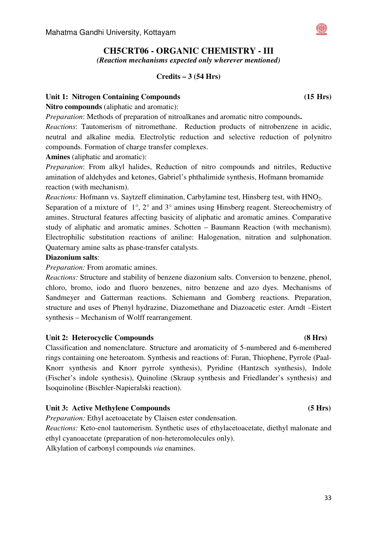# **CH5CRT06 - ORGANIC CHEMISTRY - III**

*(Reaction mechanisms expected only wherever mentioned)* 

#### **Credits – 3 (54 Hrs)**

#### Unit 1: Nitrogen Containing Compounds **(15 Hrs)**  $(15 \text{ Hrs})$

**Nitro compounds** (aliphatic and aromatic):

*Preparation*: Methods of preparation of nitroalkanes and aromatic nitro compounds**.** 

*Reactions*: Tautomerism of nitromethane. Reduction products of nitrobenzene in acidic, neutral and alkaline media. Electrolytic reduction and selective reduction of polynitro compounds. Formation of charge transfer complexes.

**Amines** (aliphatic and aromatic):

*Preparation*: From alkyl halides, Reduction of nitro compounds and nitriles, Reductive amination of aldehydes and ketones, Gabriel's phthalimide synthesis, Hofmann bromamide reaction (with mechanism).

*Reactions:* Hofmann vs. Saytzeff elimination, Carbylamine test, Hinsberg test, with HNO<sub>2</sub>. Separation of a mixture of 1°, 2° and 3° amines using Hinsberg reagent. Stereochemistry of amines. Structural features affecting basicity of aliphatic and aromatic amines. Comparative study of aliphatic and aromatic amines. Schotten – Baumann Reaction (with mechanism). Electrophilic substitution reactions of aniline: Halogenation, nitration and sulphonation. Quaternary amine salts as phase-transfer catalysts.

#### **Diazonium salts**:

*Preparation:* From aromatic amines.

*Reactions:* Structure and stability of benzene diazonium salts. Conversion to benzene, phenol, chloro, bromo, iodo and fluoro benzenes, nitro benzene and azo dyes. Mechanisms of Sandmeyer and Gatterman reactions. Schiemann and Gomberg reactions. Preparation, structure and uses of Phenyl hydrazine, Diazomethane and Diazoacetic ester. Arndt –Eistert synthesis – Mechanism of Wolff rearrangement.

### Unit 2: Heterocyclic Compounds **(8 Hrs) (8 Hrs)**

Classification and nomenclature. Structure and aromaticity of 5-numbered and 6-membered rings containing one heteroatom. Synthesis and reactions of: Furan, Thiophene, Pyrrole (Paal-Knorr synthesis and Knorr pyrrole synthesis), Pyridine (Hantzsch synthesis), Indole (Fischer's indole synthesis), Quinoline (Skraup synthesis and Friedlander's synthesis) and Isoquinoline (Bischler-Napieralski reaction).

### **Unit 3: Active Methylene Compounds (5 Hrs)**

*Preparation:* Ethyl acetoacetate by Claisen ester condensation.

*Reactions:* Keto-enol tautomerism. Synthetic uses of ethylacetoacetate, diethyl malonate and ethyl cyanoacetate (preparation of non-heteromolecules only).

Alkylation of carbonyl compounds *via* enamines.

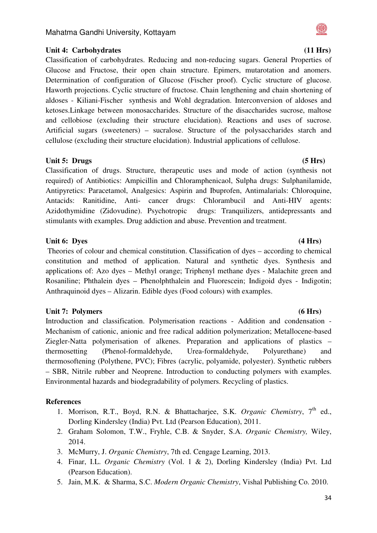

Classification of carbohydrates. Reducing and non-reducing sugars. General Properties of Glucose and Fructose, their open chain structure. Epimers, mutarotation and anomers. Determination of configuration of Glucose (Fischer proof). Cyclic structure of glucose. Haworth projections. Cyclic structure of fructose. Chain lengthening and chain shortening of aldoses - Kiliani-Fischer synthesis and Wohl degradation. Interconversion of aldoses and ketoses.Linkage between monosaccharides. Structure of the disaccharides sucrose, maltose and cellobiose (excluding their structure elucidation). Reactions and uses of sucrose. Artificial sugars (sweeteners) – sucralose. Structure of the polysaccharides starch and cellulose (excluding their structure elucidation). Industrial applications of cellulose.

#### Unit 5: Drugs (5 Hrs) **(5 Hrs)**

Classification of drugs. Structure, therapeutic uses and mode of action (synthesis not required) of Antibiotics: Ampicillin and Chloramphenicaol, Sulpha drugs: Sulphanilamide, Antipyretics: Paracetamol, Analgesics: Aspirin and Ibuprofen, Antimalarials: Chloroquine, Antacids: Ranitidine, Anti- cancer drugs: Chlorambucil and Anti-HIV agents: Azidothymidine (Zidovudine). Psychotropic drugs: Tranquilizers, antidepressants and stimulants with examples. Drug addiction and abuse. Prevention and treatment.

### Unit 6: Dyes (4 Hrs) **(4 Hrs)**

 Theories of colour and chemical constitution. Classification of dyes – according to chemical constitution and method of application. Natural and synthetic dyes. Synthesis and applications of: Azo dyes – Methyl orange; Triphenyl methane dyes - Malachite green and Rosaniline; Phthalein dyes – Phenolphthalein and Fluorescein; Indigoid dyes - Indigotin; Anthraquinoid dyes – Alizarin. Edible dyes (Food colours) with examples.

### Unit 7: Polymers (6 Hrs)

Introduction and classification. Polymerisation reactions - Addition and condensation - Mechanism of cationic, anionic and free radical addition polymerization; Metallocene-based Ziegler-Natta polymerisation of alkenes. Preparation and applications of plastics – thermosetting (Phenol-formaldehyde, Urea-formaldehyde, Polyurethane) and thermosoftening (Polythene, PVC); Fibres (acrylic, polyamide, polyester). Synthetic rubbers – SBR, Nitrile rubber and Neoprene. Introduction to conducting polymers with examples. Environmental hazards and biodegradability of polymers. Recycling of plastics.

- 1. Morrison, R.T., Boyd, R.N. & Bhattacharjee, S.K. *Organic Chemistry*, 7<sup>th</sup> ed., Dorling Kindersley (India) Pvt. Ltd (Pearson Education), 2011.
- 2. Graham Solomon, T.W., Fryhle, C.B. & Snyder, S.A. *Organic Chemistry,* Wiley, 2014.
- 3. McMurry, J. *Organic Chemistry*, 7th ed. Cengage Learning, 2013.
- 4. Finar, I.L. *Organic Chemistry* (Vol. 1 & 2), Dorling Kindersley (India) Pvt. Ltd (Pearson Education).
- 5. Jain, M.K. & Sharma, S.C. *Modern Organic Chemistry*, Vishal Publishing Co. 2010.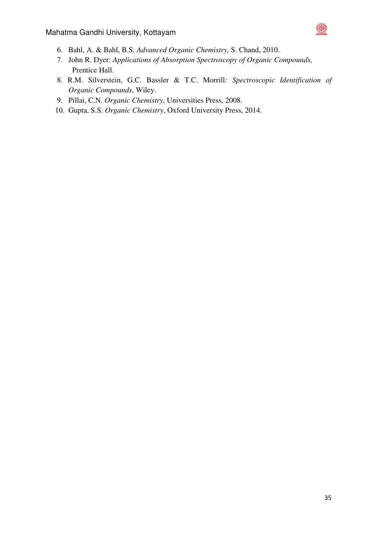

- 6. Bahl, A. & Bahl, B.S. *Advanced Organic Chemistry,* S. Chand, 2010.
- 7. John R. Dyer: *Applications of Absorption Spectroscopy of Organic Compounds,* Prentice Hall.
- 8. R.M. Silverstein, G.C. Bassler & T.C. Morrill*: Spectroscopic Identification of Organic Compounds*, Wiley.
- 9. Pillai, C.N. *Organic Chemistry*, Universities Press, 2008.
- 10. Gupta, S.S. *Organic Chemistry*, Oxford University Press, 2014.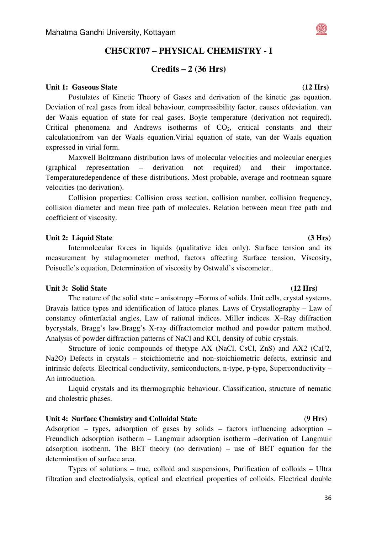# **CH5CRT07 – PHYSICAL CHEMISTRY - I**

### **Credits – 2 (36 Hrs)**

#### Unit 1: Gaseous State (12 Hrs) **(12 Hrs)**

Postulates of Kinetic Theory of Gases and derivation of the kinetic gas equation. Deviation of real gases from ideal behaviour, compressibility factor, causes ofdeviation. van der Waals equation of state for real gases. Boyle temperature (derivation not required). Critical phenomena and Andrews isotherms of  $CO<sub>2</sub>$ , critical constants and their calculationfrom van der Waals equation.Virial equation of state, van der Waals equation expressed in virial form.

Maxwell Boltzmann distribution laws of molecular velocities and molecular energies (graphical representation – derivation not required) and their importance. Temperaturedependence of these distributions. Most probable, average and rootmean square velocities (no derivation).

Collision properties: Collision cross section, collision number, collision frequency, collision diameter and mean free path of molecules. Relation between mean free path and coefficient of viscosity.

#### Unit 2: Liquid State (3 Hrs)

Intermolecular forces in liquids (qualitative idea only). Surface tension and its measurement by stalagmometer method, factors affecting Surface tension, Viscosity, Poisuelle's equation, Determination of viscosity by Ostwald's viscometer..

#### Unit 3: Solid State (12 Hrs) **(12 Hrs)**

The nature of the solid state – anisotropy –Forms of solids. Unit cells, crystal systems, Bravais lattice types and identification of lattice planes. Laws of Crystallography – Law of constancy ofinterfacial angles, Law of rational indices. Miller indices. X–Ray diffraction bycrystals, Bragg's law.Bragg's X-ray diffractometer method and powder pattern method. Analysis of powder diffraction patterns of NaCl and KCl, density of cubic crystals.

Structure of ionic compounds of thetype AX (NaCl, CsCl, ZnS) and AX2 (CaF2, Na2O) Defects in crystals – stoichiometric and non-stoichiometric defects, extrinsic and intrinsic defects. Electrical conductivity, semiconductors, n-type, p-type, Superconductivity – An introduction.

Liquid crystals and its thermographic behaviour. Classification, structure of nematic and cholestric phases.

#### **Unit 4: Surface Chemistry and Colloidal State** (**9 Hrs)**

Adsorption – types, adsorption of gases by solids – factors influencing adsorption – Freundlich adsorption isotherm – Langmuir adsorption isotherm –derivation of Langmuir adsorption isotherm. The BET theory (no derivation) – use of BET equation for the determination of surface area.

Types of solutions – true, colloid and suspensions, Purification of colloids – Ultra filtration and electrodialysis, optical and electrical properties of colloids. Electrical double

# 36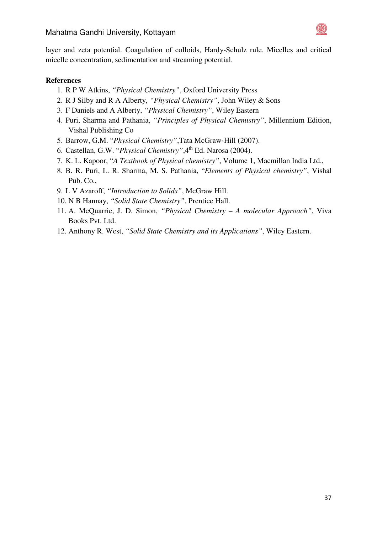

layer and zeta potential. Coagulation of colloids, Hardy-Schulz rule. Micelles and critical micelle concentration, sedimentation and streaming potential.

- 1. R P W Atkins, *"Physical Chemistry"*, Oxford University Press
- 2. R J Silby and R A Alberty, *"Physical Chemistry"*, John Wiley & Sons
- 3. F Daniels and A Alberty, *"Physical Chemistry"*, Wiley Eastern
- 4. Puri, Sharma and Pathania, *"Principles of Physical Chemistry"*, Millennium Edition, Vishal Publishing Co
- 5. Barrow, G.M. "*Physical Chemistry"*,Tata McGraw‐Hill (2007).
- 6. Castellan, G.W. "*Physical Chemistry"*,4th Ed. Narosa (2004).
- 7. K. L. Kapoor, "*A Textbook of Physical chemistry"*, Volume 1, Macmillan India Ltd.,
- 8. B. R. Puri, L. R. Sharma, M. S. Pathania, "*Elements of Physical chemistry"*, Vishal Pub. Co.,
- 9. L V Azaroff, *"Introduction to Solids"*, McGraw Hill.
- 10. N B Hannay, *"Solid State Chemistry"*, Prentice Hall.
- 11. A. McQuarrie, J. D. Simon, *"Physical Chemistry A molecular Approach"*, Viva Books Pvt. Ltd.
- 12. Anthony R. West, *"Solid State Chemistry and its Applications"*, Wiley Eastern.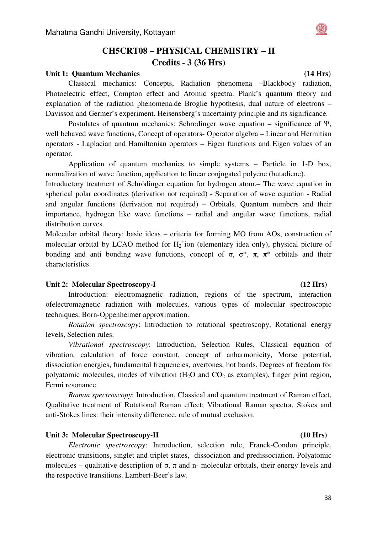# **CH5CRT08 – PHYSICAL CHEMISTRY – II Credits - 3 (36 Hrs)**

#### Unit 1: Ouantum Mechanics **(14 Hrs) (14 Hrs)**

 Classical mechanics: Concepts, Radiation phenomena –Blackbody radiation, Photoelectric effect, Compton effect and Atomic spectra. Plank's quantum theory and explanation of the radiation phenomena.de Broglie hypothesis, dual nature of electrons – Davisson and Germer's experiment. Heisensberg's uncertainty principle and its significance.

 Postulates of quantum mechanics: Schrodinger wave equation – significance of Ψ, well behaved wave functions, Concept of operators- Operator algebra – Linear and Hermitian operators - Laplacian and Hamiltonian operators – Eigen functions and Eigen values of an operator.

 Application of quantum mechanics to simple systems – Particle in 1-D box, normalization of wave function, application to linear conjugated polyene (butadiene).

Introductory treatment of Schrödinger equation for hydrogen atom.– The wave equation in spherical polar coordinates (derivation not required) - Separation of wave equation - Radial and angular functions (derivation not required) – Orbitals. Quantum numbers and their importance, hydrogen like wave functions – radial and angular wave functions, radial distribution curves.

Molecular orbital theory: basic ideas – criteria for forming MO from AOs, construction of molecular orbital by LCAO method for  $H_2^+$ ion (elementary idea only), physical picture of bonding and anti-bonding wave functions, concept of  $\sigma$ ,  $\sigma^*$ ,  $\pi$ ,  $\pi^*$  orbitals and their characteristics.

#### Unit 2: Molecular Spectroscopy-I (12 Hrs)

Introduction: electromagnetic radiation, regions of the spectrum, interaction ofelectromagnetic radiation with molecules, various types of molecular spectroscopic techniques, Born-Oppenheimer approximation.

*Rotation spectroscopy*: Introduction to rotational spectroscopy, Rotational energy levels, Selection rules.

*Vibrational spectroscopy*: Introduction, Selection Rules, Classical equation of vibration, calculation of force constant, concept of anharmonicity, Morse potential, dissociation energies, fundamental frequencies, overtones, hot bands. Degrees of freedom for polyatomic molecules, modes of vibration  $(H_2O)$  and  $CO_2$  as examples), finger print region, Fermi resonance.

*Raman spectroscopy*: Introduction, Classical and quantum treatment of Raman effect, Qualitative treatment of Rotational Raman effect; Vibrational Raman spectra, Stokes and anti-Stokes lines: their intensity difference, rule of mutual exclusion.

#### Unit 3: Molecular Spectroscopy-II (10 Hrs)

*Electronic spectroscopy*: Introduction, selection rule, Franck-Condon principle, electronic transitions, singlet and triplet states, dissociation and predissociation. Polyatomic molecules – qualitative description of  $\sigma$ ,  $\pi$  and n- molecular orbitals, their energy levels and the respective transitions. Lambert-Beer's law.

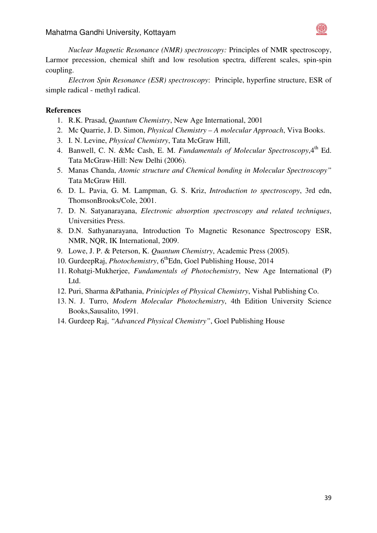

*Nuclear Magnetic Resonance (NMR) spectroscopy:* Principles of NMR spectroscopy, Larmor precession, chemical shift and low resolution spectra, different scales, spin-spin coupling.

*Electron Spin Resonance (ESR) spectroscopy*: Principle, hyperfine structure, ESR of simple radical - methyl radical.

- 1. R.K. Prasad, *Quantum Chemistry*, New Age International, 2001
- 2. Mc Quarrie, J. D. Simon, *Physical Chemistry A molecular Approach*, Viva Books.
- 3. I. N. Levine, *Physical Chemistry*, Tata McGraw Hill,
- 4. Banwell, C. N. &Mc Cash, E. M. *Fundamentals of Molecular Spectroscopy*, 4<sup>th</sup> Ed. Tata McGraw-Hill: New Delhi (2006).
- 5. Manas Chanda, *Atomic structure and Chemical bonding in Molecular Spectroscopy"* Tata McGraw Hill.
- 6. D. L. Pavia, G. M. Lampman, G. S. Kriz, *Introduction to spectroscopy*, 3rd edn, ThomsonBrooks/Cole, 2001.
- 7. D. N. Satyanarayana, *Electronic absorption spectroscopy and related techniques*, Universities Press.
- 8. D.N. Sathyanarayana, Introduction To Magnetic Resonance Spectroscopy ESR, NMR, NQR, IK International, 2009.
- 9. Lowe, J. P. & Peterson, K. *Quantum Chemistry*, Academic Press (2005).
- 10. GurdeepRaj, *Photochemistry*, 6<sup>th</sup>Edn, Goel Publishing House, 2014
- 11. Rohatgi-Mukherjee, *Fundamentals of Photochemistry*, New Age International (P) Ltd.
- 12. Puri, Sharma &Pathania, *Priniciples of Physical Chemistry*, Vishal Publishing Co.
- 13. N. J. Turro, *Modern Molecular Photochemistry*, 4th Edition University Science Books,Sausalito, 1991.
- 14. Gurdeep Raj, *"Advanced Physical Chemistry"*, Goel Publishing House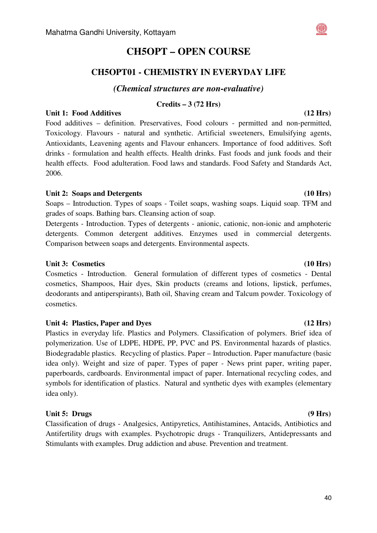#### Mahatma Gandhi University, Kottayam

# **CH5OPT – OPEN COURSE**

# **CH5OPT01 - CHEMISTRY IN EVERYDAY LIFE**

### *(Chemical structures are non-evaluative)*

### **Credits – 3 (72 Hrs)**

### Unit 1: Food Additives **(12 Hrs) (12 Hrs)**

Food additives – definition. Preservatives, Food colours - permitted and non-permitted, Toxicology. Flavours - natural and synthetic. Artificial sweeteners, Emulsifying agents, Antioxidants, Leavening agents and Flavour enhancers. Importance of food additives. Soft drinks - formulation and health effects. Health drinks. Fast foods and junk foods and their health effects. Food adulteration. Food laws and standards. Food Safety and Standards Act, 2006.

### Unit 2: Soaps and Detergents (10 Hrs)

Soaps – Introduction. Types of soaps - Toilet soaps, washing soaps. Liquid soap. TFM and grades of soaps. Bathing bars. Cleansing action of soap.

Detergents - Introduction. Types of detergents - anionic, cationic, non-ionic and amphoteric detergents. Common detergent additives. Enzymes used in commercial detergents. Comparison between soaps and detergents. Environmental aspects.

#### Unit 3: Cosmetics **(10 Hrs) (10 Hrs) (10 Hrs)**

Cosmetics - Introduction. General formulation of different types of cosmetics - Dental cosmetics, Shampoos, Hair dyes, Skin products (creams and lotions, lipstick, perfumes, deodorants and antiperspirants), Bath oil, Shaving cream and Talcum powder. Toxicology of cosmetics.

### Unit 4: Plastics, Paper and Dyes (12 Hrs) **(12 Hrs)**

Plastics in everyday life. Plastics and Polymers. Classification of polymers. Brief idea of polymerization. Use of LDPE, HDPE, PP, PVC and PS. Environmental hazards of plastics. Biodegradable plastics. Recycling of plastics. Paper – Introduction. Paper manufacture (basic idea only). Weight and size of paper. Types of paper - News print paper, writing paper, paperboards, cardboards. Environmental impact of paper. International recycling codes, and symbols for identification of plastics. Natural and synthetic dyes with examples (elementary idea only).

### Unit 5: Drugs (9 Hrs) **(9 Hrs)**

Classification of drugs - Analgesics, Antipyretics, Antihistamines, Antacids, Antibiotics and Antifertility drugs with examples. Psychotropic drugs - Tranquilizers, Antidepressants and Stimulants with examples. Drug addiction and abuse. Prevention and treatment.

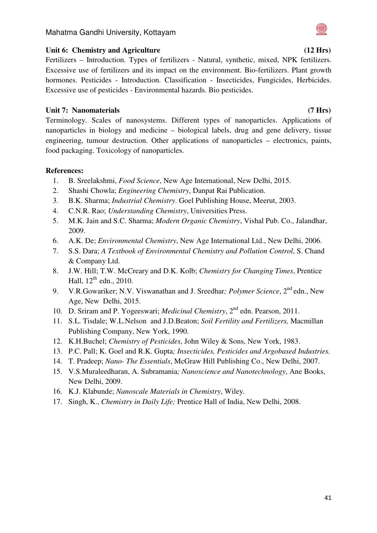### Unit 6: Chemistry and Agriculture (12 Hrs)  $(12 \text{ Hrs})$

Fertilizers – Introduction. Types of fertilizers - Natural, synthetic, mixed, NPK fertilizers. Excessive use of fertilizers and its impact on the environment. Bio-fertilizers. Plant growth hormones. Pesticides - Introduction. Classification - Insecticides, Fungicides, Herbicides. Excessive use of pesticides - Environmental hazards. Bio pesticides.

## Unit 7: Nanomaterials (7 Hrs)

Terminology. Scales of nanosystems. Different types of nanoparticles. Applications of nanoparticles in biology and medicine – biological labels, drug and gene delivery, tissue engineering, tumour destruction. Other applications of nanoparticles – electronics, paints, food packaging. Toxicology of nanoparticles.

- 1. B. Sreelakshmi, *Food Science*, New Age International, New Delhi, 2015.
- 2. Shashi Chowla; *Engineering Chemistry*, Danpat Rai Publication.
- 3. B.K. Sharma; *Industrial Chemistry*. Goel Publishing House, Meerut, 2003.
- 4. C.N.R. Rao; *Understanding Chemistry*, Universities Press.
- 5. M.K. Jain and S.C. Sharma; *Modern Organic Chemistry*, Vishal Pub. Co., Jalandhar, 2009.
- 6. A.K. De; *Environmental Chemistry*, New Age International Ltd., New Delhi, 2006.
- 7. S.S. Dara; *A Textbook of Environmental Chemistry and Pollution Control*, S. Chand & Company Ltd.
- 8. J.W. Hill; T.W. McCreary and D.K. Kolb; *Chemistry for Changing Times*, Prentice Hall,  $12^{th}$  edn., 2010.
- 9. V.R.Gowariker; N.V. Viswanathan and J. Sreedhar*; Polymer Science*, 2nd edn., New Age, New Delhi, 2015.
- 10. D. Sriram and P. Yogeeswari; *Medicinal Chemistry*, 2nd edn. Pearson, 2011.
- 11. S.L. Tisdale; W.L.Nelson and J.D.Beaton; *Soil Fertility and Fertilizers,* Macmillan Publishing Company, New York, 1990.
- 12. K.H.Buchel; *Chemistry of Pesticides*, John Wiley & Sons, New York, 1983.
- 13. P.C. Pall; K. Goel and R.K. Gupta*; Insecticides, Pesticides and Argobased Industries.*
- 14. T. Pradeep; *Nano- The Essentials*, McGraw Hill Publishing Co., New Delhi, 2007.
- 15. V.S.Muraleedharan, A. Subramania*; Nanoscience and Nanotechnology*, Ane Books, New Delhi, 2009.
- 16. K.J. Klabunde; *Nanoscale Materials in Chemistry*, Wiley.
- 17. Singh, K., *Chemistry in Daily Life;* Prentice Hall of India, New Delhi, 2008.

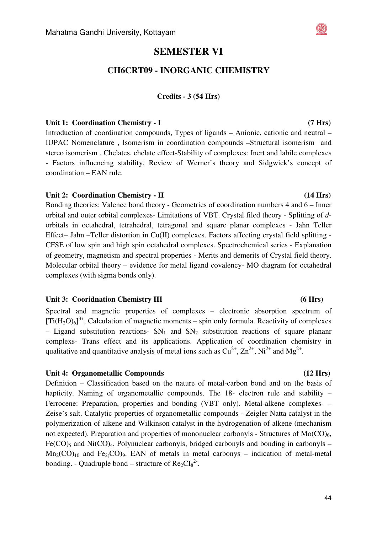# **SEMESTER VI**

## **CH6CRT09 - INORGANIC CHEMISTRY**

#### **Credits - 3 (54 Hrs)**

#### Unit 1: Coordination Chemistry - I *(7 Hrs)*

Introduction of coordination compounds, Types of ligands – Anionic, cationic and neutral – IUPAC Nomenclature , Isomerism in coordination compounds –Structural isomerism and stereo isomerism . Chelates, chelate effect-Stability of complexes: Inert and labile complexes - Factors influencing stability. Review of Werner's theory and Sidgwick's concept of coordination – EAN rule.

#### Unit 2: Coordination Chemistry - II **(14 Hrs)**

Bonding theories: Valence bond theory - Geometries of coordination numbers 4 and 6 – Inner orbital and outer orbital complexes- Limitations of VBT. Crystal filed theory - Splitting of *d*orbitals in octahedral, tetrahedral, tetragonal and square planar complexes - Jahn Teller Effect– Jahn –Teller distortion in Cu(II) complexes. Factors affecting crystal field splitting - CFSE of low spin and high spin octahedral complexes. Spectrochemical series - Explanation of geometry, magnetism and spectral properties - Merits and demerits of Crystal field theory. Molecular orbital theory – evidence for metal ligand covalency- MO diagram for octahedral complexes (with sigma bonds only).

#### **Unit 3: Cooridnation Chemistry III (6 Hrs)**

Spectral and magnetic properties of complexes – electronic absorption spectrum of  $[Ti(H_2O)_6]^3$ <sup>+</sup>, Calculation of magnetic moments – spin only formula. Reactivity of complexes – Ligand substitution reactions-  $SN_1$  and  $SN_2$  substitution reactions of square plananr complexs- Trans effect and its applications. Application of coordination chemistry in qualitative and quantitative analysis of metal ions such as  $Cu^{2+}$ ,  $Zn^{2+}$ , Ni<sup>2+</sup> and Mg<sup>2+</sup>.

#### **Unit 4: Organometallic Compounds (12 Hrs)**

Definition – Classification based on the nature of metal-carbon bond and on the basis of hapticity. Naming of organometallic compounds. The 18- electron rule and stability – Ferrocene: Preparation, properties and bonding (VBT only). Metal-alkene complexes- – Zeise's salt. Catalytic properties of organometallic compounds - Zeigler Natta catalyst in the polymerization of alkene and Wilkinson catalyst in the hydrogenation of alkene (mechanism not expected). Preparation and properties of mononuclear carbonyls - Structures of  $Mo(CO)_{6}$ ,  $Fe(CO)$ <sub>5</sub> and Ni $(CO)$ <sub>4</sub>. Polynuclear carbonyls, bridged carbonyls and bonding in carbonyls –  $Mn_2(CO)_{10}$  and Fe<sub>2</sub>(CO)<sub>9</sub>. EAN of metals in metal carbonys – indication of metal-metal bonding. - Quadruple bond – structure of  $Re_2Cl_8^2$ .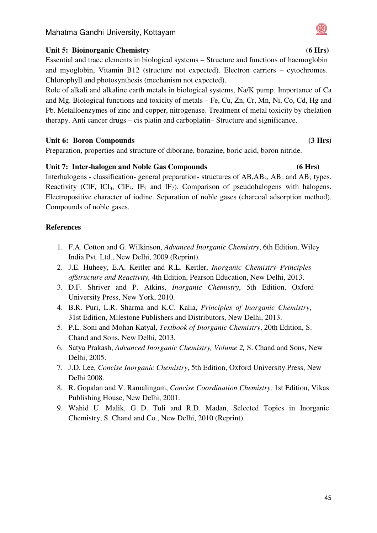# **Unit 5: Bioinorganic Chemistry (6 Hrs)**

Essential and trace elements in biological systems – Structure and functions of haemoglobin and myoglobin, Vitamin B12 (structure not expected). Electron carriers – cytochromes. Chlorophyll and photosynthesis (mechanism not expected).

Role of alkali and alkaline earth metals in biological systems, Na/K pump. Importance of Ca and Mg. Biological functions and toxicity of metals – Fe, Cu, Zn, Cr, Mn, Ni, Co, Cd, Hg and Pb. Metalloenzymes of zinc and copper, nitrogenase. Treatment of metal toxicity by chelation therapy. Anti cancer drugs – cis platin and carboplatin– Structure and significance.

### Unit 6: Boron Compounds (3 Hrs)

Preparation, properties and structure of diborane, borazine, boric acid, boron nitride.

### **Unit 7: Inter-halogen and Noble Gas Compounds (6 Hrs)**

Interhalogens - classification- general preparation- structures of  $AB, AB$ <sub>3</sub>,  $AB$ <sub>5</sub> and  $AB$ <sub>7</sub> types. Reactivity (ClF, ICl<sub>3</sub>, ClF<sub>3</sub>, IF<sub>5</sub> and IF<sub>7</sub>). Comparison of pseudohalogens with halogens. Electropositive character of iodine. Separation of noble gases (charcoal adsorption method). Compounds of noble gases.

# **References**

- 1. F.A. Cotton and G. Wilkinson, *Advanced Inorganic Chemistry*, 6th Edition, Wiley India Pvt. Ltd., New Delhi, 2009 (Reprint).
- 2. J.E. Huheey, E.A. Keitler and R.L. Keitler, *Inorganic Chemistry–Principles ofStructure and Reactivity,* 4th Edition, Pearson Education, New Delhi, 2013.
- 3. D.F. Shriver and P. Atkins, *Inorganic Chemistry*, 5th Edition, Oxford University Press, New York, 2010.
- 4. B.R. Puri, L.R. Sharma and K.C. Kalia, *Principles of Inorganic Chemistry*, 31st Edition, Milestone Publishers and Distributors, New Delhi, 2013.
- 5. P.L. Soni and Mohan Katyal, *Textbook of Inorganic Chemistry*, 20th Edition, S. Chand and Sons, New Delhi, 2013.
- 6. Satya Prakash, *Advanced Inorganic Chemistry, Volume 2,* S. Chand and Sons, New Delhi, 2005.
- 7. J.D. Lee, *Concise Inorganic Chemistry*, 5th Edition, Oxford University Press, New Delhi 2008.
- 8. R. Gopalan and V. Ramalingam, *Concise Coordination Chemistry,* 1st Edition, Vikas Publishing House, New Delhi, 2001.
- 9. Wahid U. Malik, G D. Tuli and R.D. Madan, Selected Topics in Inorganic Chemistry, S. Chand and Co., New Delhi, 2010 (Reprint).

### 45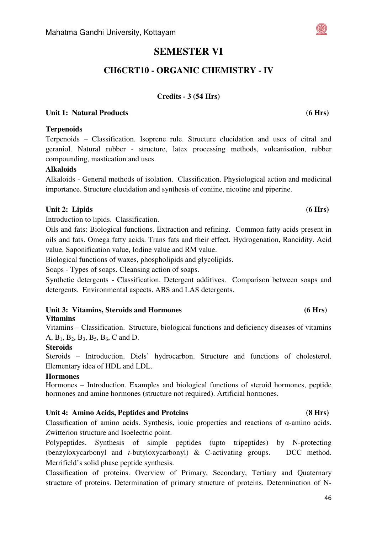#### Mahatma Gandhi University, Kottayam

# **SEMESTER VI**

# **CH6CRT10 - ORGANIC CHEMISTRY - IV**

### **Credits - 3 (54 Hrs)**

### Unit 1: Natural Products **(6 Hrs) (6 Hrs)**

#### **Terpenoids**

Terpenoids – Classification. Isoprene rule. Structure elucidation and uses of citral and geraniol. Natural rubber - structure, latex processing methods, vulcanisation, rubber compounding, mastication and uses.

#### **Alkaloids**

Alkaloids - General methods of isolation. Classification. Physiological action and medicinal importance. Structure elucidation and synthesis of coniine, nicotine and piperine.

### Unit 2: Lipids (6 Hrs)

Introduction to lipids. Classification.

Oils and fats: Biological functions. Extraction and refining. Common fatty acids present in oils and fats. Omega fatty acids. Trans fats and their effect. Hydrogenation, Rancidity. Acid value, Saponification value, Iodine value and RM value.

Biological functions of waxes, phospholipids and glycolipids.

Soaps - Types of soaps. Cleansing action of soaps.

Synthetic detergents - Classification. Detergent additives. Comparison between soaps and detergents. Environmental aspects. ABS and LAS detergents.

### Unit 3: Vitamins, Steroids and Hormones **1996** (6 Hrs)

### **Vitamins**

Vitamins – Classification. Structure, biological functions and deficiency diseases of vitamins A,  $B_1$ ,  $B_2$ ,  $B_3$ ,  $B_5$ ,  $B_6$ , C and D.

### **Steroids**

Steroids – Introduction. Diels' hydrocarbon. Structure and functions of cholesterol. Elementary idea of HDL and LDL.

#### **Hormones**

Hormones – Introduction. Examples and biological functions of steroid hormones, peptide hormones and amine hormones (structure not required). Artificial hormones.

### Unit 4: Amino Acids, Peptides and Proteins (8 Hrs)

Classification of amino acids. Synthesis, ionic properties and reactions of α-amino acids. Zwitterion structure and Isoelectric point.

Polypeptides. Synthesis of simple peptides (upto tripeptides) by N-protecting (benzyloxycarbonyl and *t*-butyloxycarbonyl) & C-activating groups. DCC method. Merrifield's solid phase peptide synthesis.

Classification of proteins. Overview of Primary, Secondary, Tertiary and Quaternary structure of proteins. Determination of primary structure of proteins. Determination of N-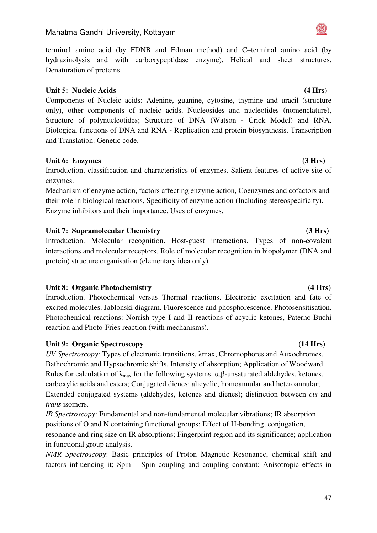47

### Mahatma Gandhi University, Kottayam

terminal amino acid (by FDNB and Edman method) and C–terminal amino acid (by hydrazinolysis and with carboxypeptidase enzyme). Helical and sheet structures. Denaturation of proteins.

#### Unit 5: Nucleic Acids **(4 Hrs) (4 Hrs) (4 Hrs)**

Components of Nucleic acids: Adenine, guanine, cytosine, thymine and uracil (structure only), other components of nucleic acids. Nucleosides and nucleotides (nomenclature), Structure of polynucleotides; Structure of DNA (Watson - Crick Model) and RNA. Biological functions of DNA and RNA - Replication and protein biosynthesis. Transcription and Translation. Genetic code.

#### Unit 6: Enzymes (3 Hrs)

Introduction, classification and characteristics of enzymes. Salient features of active site of enzymes.

Mechanism of enzyme action, factors affecting enzyme action, Coenzymes and cofactors and their role in biological reactions, Specificity of enzyme action (Including stereospecificity). Enzyme inhibitors and their importance. Uses of enzymes.

### Unit 7: Supramolecular Chemistry **(3 Hrs) (3 Hrs)**

Introduction. Molecular recognition. Host-guest interactions. Types of non-covalent interactions and molecular receptors. Role of molecular recognition in biopolymer (DNA and protein) structure organisation (elementary idea only).

#### Unit 8: Organic Photochemistry **(4 Hrs) (4 Hrs)**

Introduction. Photochemical versus Thermal reactions. Electronic excitation and fate of excited molecules. Jablonski diagram. Fluorescence and phosphorescence. Photosensitisation. Photochemical reactions: Norrish type I and II reactions of acyclic ketones, Paterno-Buchi reaction and Photo-Fries reaction (with mechanisms).

### Unit 9: Organic Spectroscopy (14 Hrs)

*UV Spectroscopy*: Types of electronic transitions, λmax, Chromophores and Auxochromes, Bathochromic and Hypsochromic shifts, Intensity of absorption; Application of Woodward Rules for calculation of  $λ_{max}$  for the following systems:  $α, β$ -unsaturated aldehydes, ketones, carboxylic acids and esters; Conjugated dienes: alicyclic, homoannular and heteroannular; Extended conjugated systems (aldehydes, ketones and dienes); distinction between *cis* and *trans* isomers.

*IR Spectroscopy*: Fundamental and non-fundamental molecular vibrations; IR absorption positions of O and N containing functional groups; Effect of H-bonding, conjugation,

resonance and ring size on IR absorptions; Fingerprint region and its significance; application in functional group analysis.

*NMR Spectroscopy*: Basic principles of Proton Magnetic Resonance, chemical shift and factors influencing it; Spin – Spin coupling and coupling constant; Anisotropic effects in

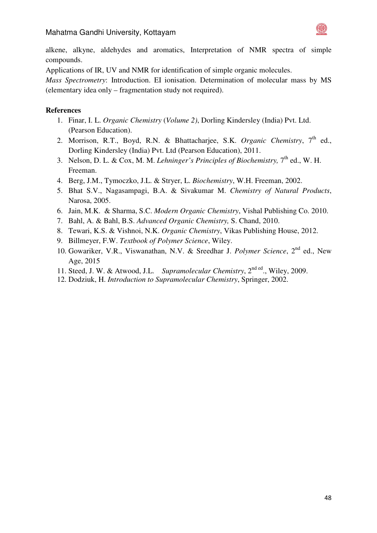

alkene, alkyne, aldehydes and aromatics, Interpretation of NMR spectra of simple compounds.

Applications of IR, UV and NMR for identification of simple organic molecules.

*Mass Spectrometry*: Introduction. EI ionisation. Determination of molecular mass by MS (elementary idea only – fragmentation study not required).

- 1. Finar, I. L. *Organic Chemistry* (*Volume 2)*, Dorling Kindersley (India) Pvt. Ltd. (Pearson Education).
- 2. Morrison, R.T., Boyd, R.N. & Bhattacharjee, S.K. *Organic Chemistry*, 7<sup>th</sup> ed., Dorling Kindersley (India) Pvt. Ltd (Pearson Education), 2011.
- 3. Nelson, D. L. & Cox, M. M. *Lehninger's Principles of Biochemistry*, 7<sup>th</sup> ed., W. H. Freeman.
- 4. Berg, J.M., Tymoczko, J.L. & Stryer, L. *Biochemistry*, W.H. Freeman, 2002.
- 5. Bhat S.V., Nagasampagi, B.A. & Sivakumar M. *Chemistry of Natural Products*, Narosa, 2005.
- 6. Jain, M.K. & Sharma, S.C. *Modern Organic Chemistry*, Vishal Publishing Co. 2010.
- 7. Bahl, A. & Bahl, B.S. *Advanced Organic Chemistry,* S. Chand, 2010.
- 8. Tewari, K.S. & Vishnoi, N.K. *Organic Chemistry*, Vikas Publishing House, 2012.
- 9. Billmeyer, F.W. *Textbook of Polymer Science*, Wiley.
- 10. Gowariker, V.R., Viswanathan, N.V. & Sreedhar J. *Polymer Science*, 2nd ed., New Age, 2015
- 11. Steed, J. W. & Atwood, J.L. *Supramolecular Chemistry*, 2<sup>nd ed</sup>., Wiley, 2009.
- 12. Dodziuk, H. *Introduction to Supramolecular Chemistry*, Springer, 2002.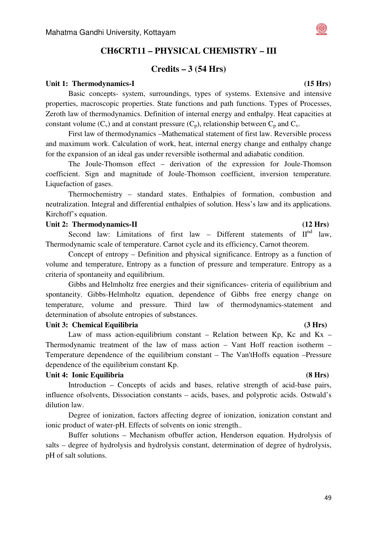# **CH6CRT11 – PHYSICAL CHEMISTRY – III**

### **Credits – 3 (54 Hrs)**

#### Unit 1: Thermodynamics-I (15 Hrs)

Basic concepts- system, surroundings, types of systems. Extensive and intensive properties, macroscopic properties. State functions and path functions. Types of Processes, Zeroth law of thermodynamics. Definition of internal energy and enthalpy. Heat capacities at constant volume  $(C_v)$  and at constant pressure  $(C_p)$ , relationship between  $C_p$  and  $C_v$ .

First law of thermodynamics –Mathematical statement of first law. Reversible process and maximum work. Calculation of work, heat, internal energy change and enthalpy change for the expansion of an ideal gas under reversible isothermal and adiabatic condition.

The Joule-Thomson effect – derivation of the expression for Joule-Thomson coefficient. Sign and magnitude of Joule-Thomson coefficient, inversion temperature. Liquefaction of gases.

Thermochemistry – standard states. Enthalpies of formation, combustion and neutralization. Integral and differential enthalpies of solution. Hess's law and its applications. Kirchoff's equation.

#### Unit 2: Thermodynamics-II (12 Hrs)

Second law: Limitations of first law – Different statements of  $II<sup>nd</sup>$  law, Thermodynamic scale of temperature. Carnot cycle and its efficiency, Carnot theorem.

Concept of entropy – Definition and physical significance. Entropy as a function of volume and temperature, Entropy as a function of pressure and temperature. Entropy as a criteria of spontaneity and equilibrium.

Gibbs and Helmholtz free energies and their significances- criteria of equilibrium and spontaneity. Gibbs-Helmholtz equation, dependence of Gibbs free energy change on temperature, volume and pressure. Third law of thermodynamics-statement and determination of absolute entropies of substances.

#### Unit 3: Chemical Equilibria (3 Hrs)

Law of mass action-equilibrium constant – Relation between Kp, Kc and Kx – Thermodynamic treatment of the law of mass action – Vant Hoff reaction isotherm – Temperature dependence of the equilibrium constant – The Van'tHoffs equation –Pressure dependence of the equilibrium constant Kp.

#### Unit 4: Ionic Equilibria (8 Hrs)

Introduction – Concepts of acids and bases, relative strength of acid-base pairs, influence ofsolvents, Dissociation constants – acids, bases, and polyprotic acids. Ostwald's dilution law.

Degree of ionization, factors affecting degree of ionization, ionization constant and ionic product of water-pH. Effects of solvents on ionic strength..

Buffer solutions – Mechanism ofbuffer action, Henderson equation. Hydrolysis of salts – degree of hydrolysis and hydrolysis constant, determination of degree of hydrolysis, pH of salt solutions.

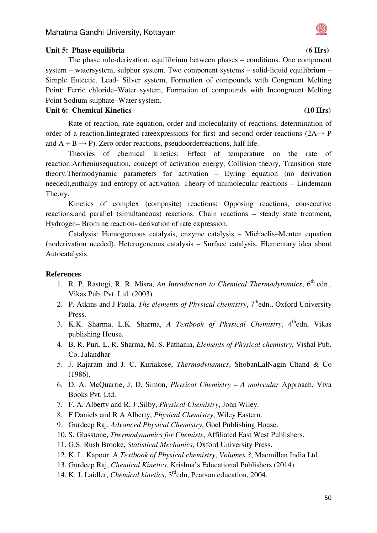### Unit 5: Phase equilibria (6 Hrs)

The phase rule-derivation, equilibrium between phases – conditions. One component system – watersystem, sulphur system. Two component systems – solid-liquid equilibrium – Simple Eutectic, Lead- Silver system, Formation of compounds with Congruent Melting Point; Ferric chloride–Water system, Formation of compounds with Incongruent Melting Point Sodium sulphate–Water system.

### Unit 6: Chemical Kinetics (10 Hrs)

Rate of reaction, rate equation, order and molecularity of reactions, determination of order of a reaction.Iintegrated rateexpressions for first and second order reactions (2A→ P and  $A + B \rightarrow P$ ). Zero order reactions, pseudoorderreactions, half life.

Theories of chemical kinetics: Effect of temperature on the rate of reaction:Arrheniusequation, concept of activation energy, Collision theory, Transition state theory.Thermodynamic parameters for activation – Eyring equation (no derivation needed),enthalpy and entropy of activation. Theory of unimolecular reactions – Lindemann Theory.

Kinetics of complex (composite) reactions: Opposing reactions, consecutive reactions,and parallel (simultaneous) reactions. Chain reactions – steady state treatment, Hydrogen– Bromine reaction- derivation of rate expression.

Catalysis: Homogeneous catalysis, enzyme catalysis – Michaelis–Menten equation (noderivation needed). Heterogeneous catalysis – Surface catalysis, Elementary idea about Autocatalysis.

### **References**

- 1. R. P. Rastogi, R. R. Misra, *An Introduction to Chemical Thermodynamics*, 6<sup>th</sup> edn., Vikas Pub. Pvt. Ltd. (2003).
- 2. P. Atkins and J Paula, *The elements of Physical chemistry*, 7<sup>th</sup>edn., Oxford University Press.
- 3. K.K. Sharma, L.K. Sharma, *A Textbook of Physical Chemistry*, 4<sup>th</sup>edn, Vikas publishing House.
- 4. B. R. Puri, L. R. Sharma, M. S. Pathania, *Elements of Physical chemistry*, Vishal Pub. Co. Jalandhar
- 5. J. Rajaram and J. C. Kuriakose, *Thermodynamics*, ShobanLalNagin Chand & Co (1986).
- 6. D. A. McQuarrie, J. D. Simon, *Physical Chemistry A molecular* Approach, Viva Books Pvt. Ltd.
- 7. F. A. Alberty and R. J .Silby, *Physical Chemistry*, John Wiley.
- 8. F Daniels and R A Alberty, *Physical Chemistry*, Wiley Eastern.
- 9. Gurdeep Raj, *Advanced Physical Chemistry*, Goel Publishing House.
- 10. S. Glasstone, *Thermodynamics for Chemists*, Affiliated East West Publishers.
- 11. G.S. Rush Brooke, *Statistical Mechanics*, Oxford University Press.
- 12. K. L. Kapoor, A *Textbook of Physical chemistry*, *Volumes 3*, Macmillan India Ltd.
- 13. Gurdeep Raj, *Chemical Kinetics*, Krishna's Educational Publishers (2014).
- 14. K. J. Laidler, *Chemical kinetics*, 3rdedn, Pearson education, 2004.

#### 50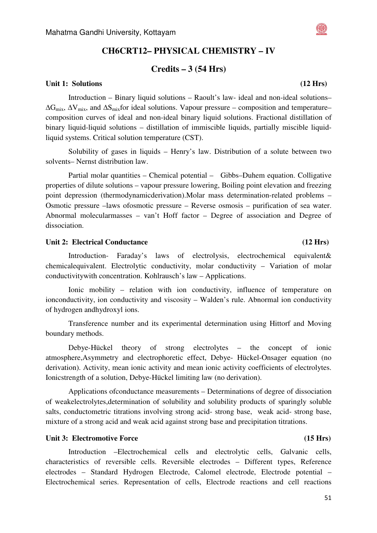# **CH6CRT12– PHYSICAL CHEMISTRY – IV**

### **Credits – 3 (54 Hrs)**

#### Unit 1: Solutions (12 Hrs) **12 Hrs**)

Introduction – Binary liquid solutions – Raoult's law- ideal and non-ideal solutions–  $\Delta G_{\rm mix}$ ,  $\Delta V_{\rm mix}$ , and  $\Delta S_{\rm mix}$  for ideal solutions. Vapour pressure – composition and temperature– composition curves of ideal and non-ideal binary liquid solutions. Fractional distillation of binary liquid-liquid solutions – distillation of immiscible liquids, partially miscible liquidliquid systems. Critical solution temperature (CST).

Solubility of gases in liquids – Henry's law. Distribution of a solute between two solvents– Nernst distribution law.

Partial molar quantities – Chemical potential – Gibbs–Duhem equation. Colligative properties of dilute solutions – vapour pressure lowering, Boiling point elevation and freezing point depression (thermodynamicderivation).Molar mass determination-related problems – Osmotic pressure –laws ofosmotic pressure – Reverse osmosis – purification of sea water. Abnormal molecularmasses – van't Hoff factor – Degree of association and Degree of dissociation.

#### Unit 2: Electrical Conductance (12 Hrs) **(12 Hrs)**

Introduction- Faraday's laws of electrolysis, electrochemical equivalent& chemicalequivalent. Electrolytic conductivity, molar conductivity – Variation of molar conductivitywith concentration. Kohlrausch's law – Applications.

Ionic mobility – relation with ion conductivity, influence of temperature on ionconductivity, ion conductivity and viscosity – Walden's rule. Abnormal ion conductivity of hydrogen andhydroxyl ions.

Transference number and its experimental determination using Hittorf and Moving boundary methods.

Debye-Hückel theory of strong electrolytes – the concept of ionic atmosphere,Asymmetry and electrophoretic effect, Debye- Hückel-Onsager equation (no derivation). Activity, mean ionic activity and mean ionic activity coefficients of electrolytes. Ionicstrength of a solution, Debye-Hückel limiting law (no derivation).

Applications ofconductance measurements – Determinations of degree of dissociation of weakelectrolytes,determination of solubility and solubility products of sparingly soluble salts, conductometric titrations involving strong acid- strong base, weak acid- strong base, mixture of a strong acid and weak acid against strong base and precipitation titrations.

#### **Unit 3: Electromotive Force** (15 Hrs)  $(15 \text{ Hrs})$

Introduction –Electrochemical cells and electrolytic cells, Galvanic cells, characteristics of reversible cells. Reversible electrodes – Different types, Reference electrodes – Standard Hydrogen Electrode, Calomel electrode, Electrode potential – Electrochemical series. Representation of cells, Electrode reactions and cell reactions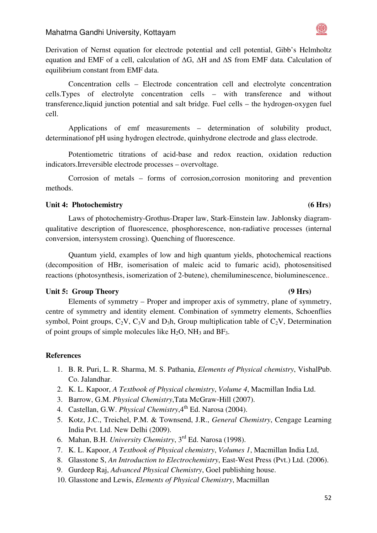#### Mahatma Gandhi University, Kottayam

Derivation of Nernst equation for electrode potential and cell potential, Gibb's Helmholtz equation and EMF of a cell, calculation of ∆G, ∆H and ∆S from EMF data. Calculation of equilibrium constant from EMF data.

Concentration cells – Electrode concentration cell and electrolyte concentration cells.Types of electrolyte concentration cells – with transference and without transference,liquid junction potential and salt bridge. Fuel cells – the hydrogen-oxygen fuel cell.

Applications of emf measurements – determination of solubility product, determinationof pH using hydrogen electrode, quinhydrone electrode and glass electrode.

Potentiometric titrations of acid-base and redox reaction, oxidation reduction indicators.Irreversible electrode processes – overvoltage.

Corrosion of metals – forms of corrosion,corrosion monitoring and prevention methods.

#### Unit 4: Photochemistry **6 Hrs**)

Laws of photochemistry-Grothus-Draper law, Stark-Einstein law. Jablonsky diagramqualitative description of fluorescence, phosphorescence, non-radiative processes (internal conversion, intersystem crossing). Quenching of fluorescence.

Quantum yield, examples of low and high quantum yields, photochemical reactions (decomposition of HBr, isomerisation of maleic acid to fumaric acid), photosensitised reactions (photosynthesis, isomerization of 2-butene), chemiluminescence, bioluminescence..

### Unit 5: Group Theory **1988** (9 Hrs)

Elements of symmetry – Proper and improper axis of symmetry, plane of symmetry, centre of symmetry and identity element. Combination of symmetry elements, Schoenflies symbol, Point groups,  $C_2V$ ,  $C_3V$  and  $D_3h$ , Group multiplication table of  $C_2V$ , Determination of point groups of simple molecules like  $H_2O$ ,  $NH_3$  and  $BF_3$ .

- 1. B. R. Puri, L. R. Sharma, M. S. Pathania, *Elements of Physical chemistry*, VishalPub. Co. Jalandhar.
- 2. K. L. Kapoor, *A Textbook of Physical chemistry*, *Volume 4*, Macmillan India Ltd.
- 3. Barrow, G.M. *Physical Chemistry*,Tata McGraw‐Hill (2007).
- 4. Castellan, G.W. *Physical Chemistry*, 4<sup>th</sup> Ed. Narosa (2004).
- 5. Kotz, J.C., Treichel, P.M. & Townsend, J.R., *General Chemistry*, Cengage Learning India Pvt. Ltd. New Delhi (2009).
- 6. Mahan, B.H. *University Chemistry*, 3rd Ed. Narosa (1998).
- 7. K. L. Kapoor, *A Textbook of Physical chemistry*, *Volumes 1*, Macmillan India Ltd,
- 8. Glasstone S, *An Introduction to Electrochemistry*, East-West Press (Pvt.) Ltd. (2006).
- 9. Gurdeep Raj, *Advanced Physical Chemistry*, Goel publishing house.
- 10. Glasstone and Lewis, *Elements of Physical Chemistry*, Macmillan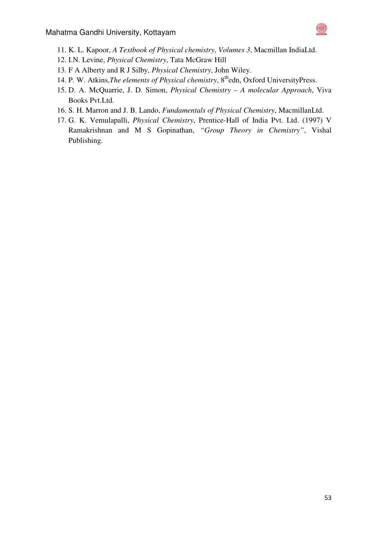

- 11. K. L. Kapoor, *A Textbook of Physical chemistry*, *Volumes 3*, Macmillan IndiaLtd.
- 12. I.N. Levine, *Physical Chemistry*, Tata McGraw Hill
- 13. F A Alberty and R J Silby, *Physical Chemistry*, John Wiley.
- 14. P. W. Atkins, *The elements of Physical chemistry*, 8<sup>th</sup>edn, Oxford UniversityPress.
- 15. D. A. McQuarrie, J. D. Simon, *Physical Chemistry A molecular Approach*, Viva Books Pvt.Ltd.
- 16. S. H. Marron and J. B. Lando, *Fundamentals of Physical Chemistry*, MacmillanLtd.
- 17. G. K. Vemulapalli, *Physical Chemistry*, Prentice-Hall of India Pvt. Ltd. (1997) V Ramakrishnan and M S Gopinathan, *"Group Theory in Chemistry"*, Vishal Publishing.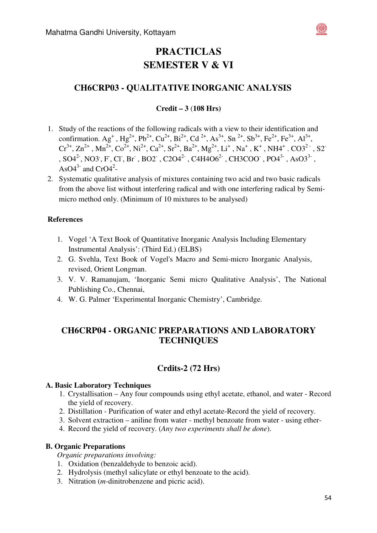

# **CH6CRP03 - QUALITATIVE INORGANIC ANALYSIS**

### **Credit – 3** (**108 Hrs)**

- 1. Study of the reactions of the following radicals with a view to their identification and confirmation. Ag<sup>+</sup>, Hg<sup>2+</sup>, Pb<sup>2+</sup>, Cu<sup>2+</sup>, Bi<sup>2+</sup>, Cd<sup>2+</sup>, As<sup>3+</sup>, Sn<sup>2+</sup>, Sb<sup>3+</sup>, Fe<sup>2+</sup>, Fe<sup>3+</sup>, Al<sup>3+</sup>,  $Cr^{3+}$ ,  $Zn^{2+}$ ,  $Mn^{2+}$ ,  $Co^{2+}$ ,  $Ni^{2+}$ ,  $Ca^{2+}$ ,  $Sr^{2+}$ ,  $Ba^{2+}$ ,  $Mg^{2+}$ ,  $Li^+$ ,  $Na^+$ ,  $K^+$ ,  $NH4^+$ .  $CO3^{2-}$ ,  $S2^-$ ,  $SO4^{2}$ , NO3<sup>,</sup> F, Cl, Br, BO2, C2O4<sup>2</sup>, C4H4O6<sup>2</sup>, CH3COO, PO4<sup>3</sup>, AsO3<sup>3</sup>, AsO $4^{3}$ - and CrO $4^{2}$ -
- 2. Systematic qualitative analysis of mixtures containing two acid and two basic radicals from the above list without interfering radical and with one interfering radical by Semimicro method only. (Minimum of 10 mixtures to be analysed)

### **References**

- 1. Vogel 'A Text Book of Quantitative Inorganic Analysis Including Elementary Instrumental Analysis': (Third Ed.) (ELBS)
- 2. G. Svehla, Text Book of Vogel's Macro and Semi-micro Inorganic Analysis, revised, Orient Longman.
- 3. V. V. Ramanujam, 'Inorganic Semi micro Qualitative Analysis', The National Publishing Co., Chennai,
- 4. W. G. Palmer 'Experimental Inorganic Chemistry', Cambridge.

# **CH6CRP04 - ORGANIC PREPARATIONS AND LABORATORY TECHNIQUES**

# **Crdits-2 (72 Hrs)**

### **A. Basic Laboratory Techniques**

- 1. Crystallisation Any four compounds using ethyl acetate, ethanol, and water Record the yield of recovery.
- 2. Distillation Purification of water and ethyl acetate-Record the yield of recovery.
- 3. Solvent extraction aniline from water methyl benzoate from water using ether-
- 4. Record the yield of recovery. (*Any two experiments shall be done*).

### **B. Organic Preparations**

*Organic preparations involving:* 

- 1. Oxidation (benzaldehyde to benzoic acid).
- 2. Hydrolysis (methyl salicylate or ethyl benzoate to the acid).
- 3. Nitration (*m*-dinitrobenzene and picric acid).

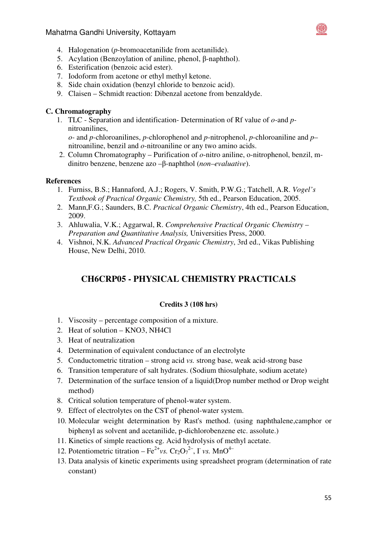### Mahatma Gandhi University, Kottayam



- 4. Halogenation (*p*-bromoacetanilide from acetanilide).
- 5. Acylation (Benzoylation of aniline, phenol, β-naphthol).
- 6. Esterification (benzoic acid ester).
- 7. Iodoform from acetone or ethyl methyl ketone.
- 8. Side chain oxidation (benzyl chloride to benzoic acid).
- 9. Claisen Schmidt reaction: Dibenzal acetone from benzaldyde.

### **C. Chromatography**

1. TLC - Separation and identification- Determination of Rf value of *o-*and *p*nitroanilines,

*o-* and *p-*chloroanilines, *p*-chlorophenol and *p*-nitrophenol, *p*-chloroaniline and *p*– nitroaniline, benzil and *o-*nitroaniline or any two amino acids.

2. Column Chromatography – Purification of *o*-nitro aniline, o-nitrophenol, benzil, mdinitro benzene, benzene azo –β-naphthol (*non–evaluative*).

#### **References**

- 1. Furniss, B.S.; Hannaford, A.J.; Rogers, V. Smith, P.W.G.; Tatchell, A.R. *Vogel's Textbook of Practical Organic Chemistry,* 5th ed., Pearson Education, 2005.
- 2. Mann,F.G.; Saunders, B.C. *Practical Organic Chemistry*, 4th ed., Pearson Education, 2009.
- 3. Ahluwalia, V.K.; Aggarwal, R. *Comprehensive Practical Organic Chemistry Preparation and Quantitative Analysis,* Universities Press, 2000.
- 4. Vishnoi, N.K. *Advanced Practical Organic Chemistry*, 3rd ed., Vikas Publishing House, New Delhi, 2010.

# **CH6CRP05 - PHYSICAL CHEMISTRY PRACTICALS**

#### **Credits 3 (108 hrs)**

- 1. Viscosity percentage composition of a mixture.
- 2. Heat of solution KNO3, NH4Cl
- 3. Heat of neutralization
- 4. Determination of equivalent conductance of an electrolyte
- 5. Conductometric titration strong acid *vs.* strong base, weak acid-strong base
- 6. Transition temperature of salt hydrates. (Sodium thiosulphate, sodium acetate)
- 7. Determination of the surface tension of a liquid(Drop number method or Drop weight method)
- 8. Critical solution temperature of phenol-water system.
- 9. Effect of electrolytes on the CST of phenol-water system.
- 10. Molecular weight determination by Rast's method. (using naphthalene,camphor or biphenyl as solvent and acetanilide, p-dichlorobenzene etc. assolute.)
- 11. Kinetics of simple reactions eg. Acid hydrolysis of methyl acetate.
- 12. Potentiometric titration  $\text{Fe}^{2+}$ *vs.*  $\text{Cr}_2\text{O}_7^{2-}$ ,  $\Gamma$ *vs.*  $\text{MnO}^{4-}$
- 13. Data analysis of kinetic experiments using spreadsheet program (determination of rate constant)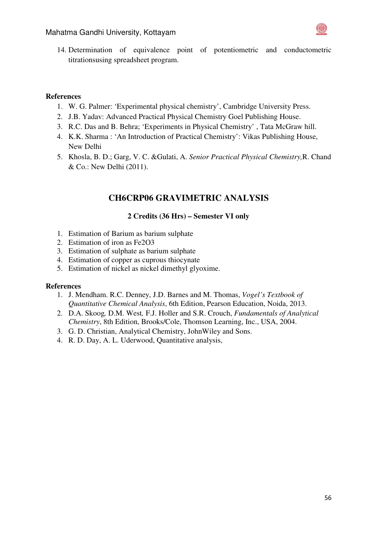

14. Determination of equivalence point of potentiometric and conductometric titrationsusing spreadsheet program.

### **References**

- 1. W. G. Palmer: 'Experimental physical chemistry', Cambridge University Press.
- 2. J.B. Yadav: Advanced Practical Physical Chemistry Goel Publishing House.
- 3. R.C. Das and B. Behra; 'Experiments in Physical Chemistry' , Tata McGraw hill.
- 4. K.K. Sharma : 'An Introduction of Practical Chemistry': Vikas Publishing House, New Delhi
- 5. Khosla, B. D.; Garg, V. C. &Gulati, A. *Senior Practical Physical Chemistry,*R. Chand & Co.: New Delhi (2011).

# **CH6CRP06 GRAVIMETRIC ANALYSIS**

### **2 Credits (36 Hrs) – Semester VI only**

- 1. Estimation of Barium as barium sulphate
- 2. Estimation of iron as Fe2O3
- 3. Estimation of sulphate as barium sulphate
- 4. Estimation of copper as cuprous thiocynate
- 5. Estimation of nickel as nickel dimethyl glyoxime.

- 1. J. Mendham. R.C. Denney, J.D. Barnes and M. Thomas, *Vogel's Textbook of Quantitative Chemical Analysis*, 6th Edition, Pearson Education, Noida, 2013.
- 2. D.A. Skoog*,* D.M. West*,* F.J. Holler and S.R. Crouch, *Fundamentals of Analytical Chemistry*, 8th Edition, Brooks/Cole, Thomson Learning, Inc., USA, 2004.
- 3. G. D. Christian, Analytical Chemistry, JohnWiley and Sons.
- 4. R. D. Day, A. L. Uderwood, Quantitative analysis,